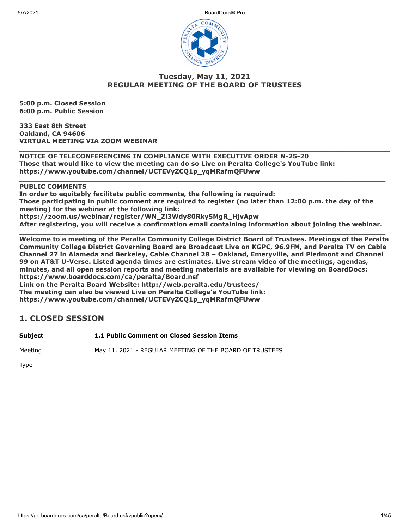5/7/2021 BoardDocs® Pro



# **Tuesday, May 11, 2021 REGULAR MEETING OF THE BOARD OF TRUSTEES**

**5:00 p.m. Closed Session 6:00 p.m. Public Session**

**333 East 8th Street Oakland, CA 94606 VIRTUAL MEETING VIA ZOOM WEBINAR**

**\_\_\_\_\_\_\_\_\_\_\_\_\_\_\_\_\_\_\_\_\_\_\_\_\_\_\_\_\_\_\_\_\_\_\_\_\_\_\_\_\_\_\_\_\_\_\_\_\_\_\_\_\_\_\_\_\_\_\_\_\_\_\_\_\_\_\_\_\_\_\_\_\_\_\_\_\_\_\_\_\_\_\_\_\_ NOTICE OF TELECONFERENCING IN COMPLIANCE WITH EXECUTIVE ORDER N-25-20 Those that would like to view the meeting can do so Live on Peralta College's YouTube link: https://www.youtube.com/channel/UCTEVyZCQ1p\_yqMRafmQFUww** 

# **PUBLIC COMMENTS**

**In order to equitably facilitate public comments, the following is required: Those participating in public comment are required to register (no later than 12:00 p.m. the day of the meeting) for the webinar at the following link: https://zoom.us/webinar/register/WN\_Zl3Wdy80Rky5MgR\_HjvApw After registering, you will receive a confirmation email containing information about joining the webinar.**

**\_\_\_\_\_\_\_\_\_\_\_\_\_\_\_\_\_\_\_\_\_\_\_\_\_\_\_\_\_\_\_\_\_\_\_\_\_\_\_\_\_\_\_\_\_\_\_\_\_\_\_\_\_\_\_\_\_\_\_\_\_\_\_\_\_\_\_\_\_\_\_\_\_\_\_\_\_\_\_\_\_\_\_\_**

**\_\_\_\_\_\_\_\_\_\_\_\_\_\_\_\_\_\_\_\_\_\_\_\_\_\_\_\_\_\_\_\_\_\_\_\_\_\_\_\_\_\_\_\_\_\_\_\_\_\_\_\_\_\_\_\_\_\_\_\_\_\_\_\_\_\_\_\_\_\_\_\_\_\_\_\_\_\_\_\_\_\_\_\_ Welcome to a meeting of the Peralta Community College District Board of Trustees. Meetings of the Peralta Community College District Governing Board are Broadcast Live on KGPC, 96.9FM, and Peralta TV on Cable Channel 27 in Alameda and Berkeley, Cable Channel 28 – Oakland, Emeryville, and Piedmont and Channel 99 on AT&T U-Verse. Listed agenda times are estimates. Live stream video of the meetings, agendas, minutes, and all open session reports and meeting materials are available for viewing on BoardDocs: https://www.boarddocs.com/ca/peralta/Board.nsf Link on the Peralta Board Website: http://web.peralta.edu/trustees/**

**The meeting can also be viewed Live on Peralta College's YouTube link: https://www.youtube.com/channel/UCTEVyZCQ1p\_yqMRafmQFUww**

# **1. CLOSED SESSION**

**Subject 1.1 Public Comment on Closed Session Items**

Meeting May 11, 2021 - REGULAR MEETING OF THE BOARD OF TRUSTEES

Type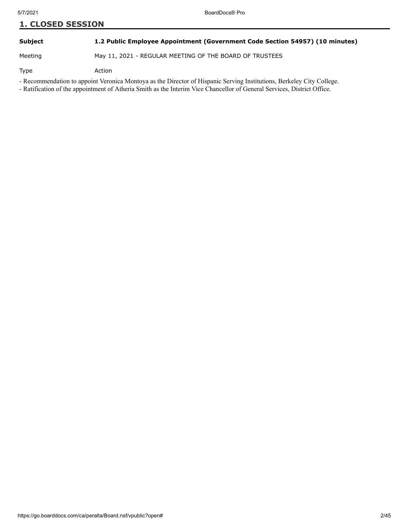# **Subject 1.2 Public Employee Appointment (Government Code Section 54957) (10 minutes)**

Meeting May 11, 2021 - REGULAR MEETING OF THE BOARD OF TRUSTEES

Type Action

- Recommendation to appoint Veronica Montoya as the Director of Hispanic Serving Institutions, Berkeley City College.

- Ratification of the appointment of Atheria Smith as the Interim Vice Chancellor of General Services, District Office.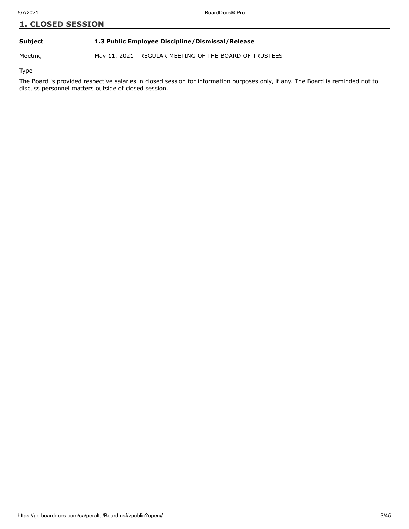# **Subject 1.3 Public Employee Discipline/Dismissal/Release**

Meeting May 11, 2021 - REGULAR MEETING OF THE BOARD OF TRUSTEES

Type

The Board is provided respective salaries in closed session for information purposes only, if any. The Board is reminded not to discuss personnel matters outside of closed session.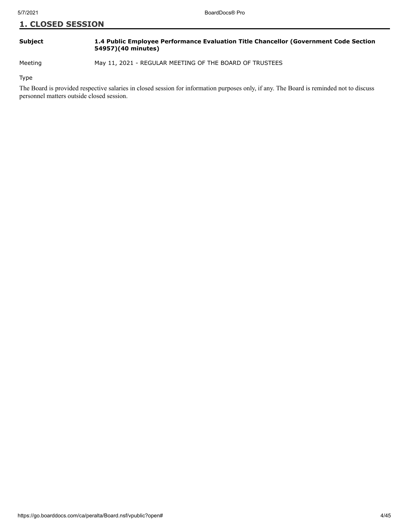# **Subject 1.4 Public Employee Performance Evaluation Title Chancellor (Government Code Section 54957)(40 minutes)**

Meeting May 11, 2021 - REGULAR MEETING OF THE BOARD OF TRUSTEES

Type

The Board is provided respective salaries in closed session for information purposes only, if any. The Board is reminded not to discuss personnel matters outside closed session.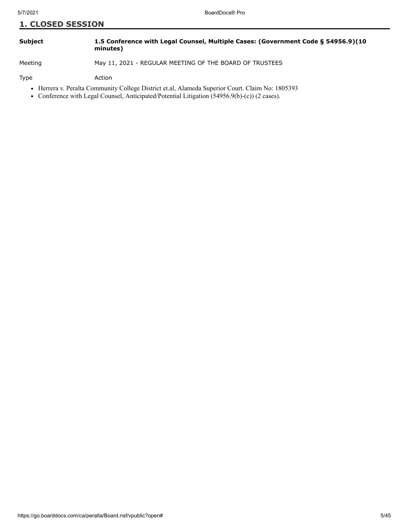| <b>Subject</b> | 1.5 Conference with Legal Counsel, Multiple Cases: (Government Code § 54956.9)(10 |
|----------------|-----------------------------------------------------------------------------------|
|                | minutes)                                                                          |

Meeting May 11, 2021 - REGULAR MEETING OF THE BOARD OF TRUSTEES

Type Action

- Herrera v. Peralta Community College District et.al, Alameda Superior Court. Claim No: 1805393
- Conference with Legal Counsel, Anticipated/Potential Litigation (54956.9(b)-(c)) (2 cases).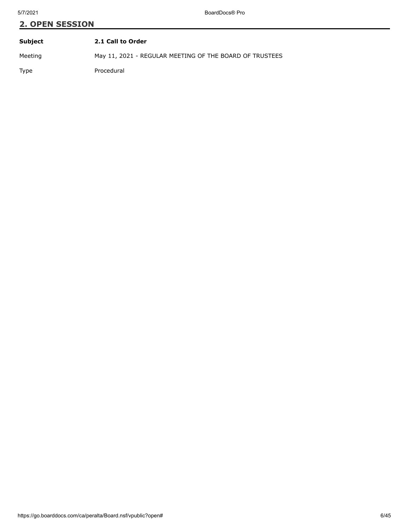# **2. OPEN SESSION Subject 2.1 Call to Order**

Meeting May 11, 2021 - REGULAR MEETING OF THE BOARD OF TRUSTEES

Type Procedural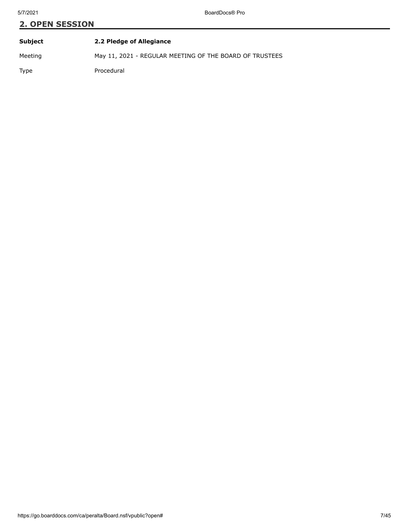| <b>Subject</b> | 2.2 Pledge of Allegiance                                |
|----------------|---------------------------------------------------------|
| Meeting        | May 11, 2021 - REGULAR MEETING OF THE BOARD OF TRUSTEES |
| Type           | Procedural                                              |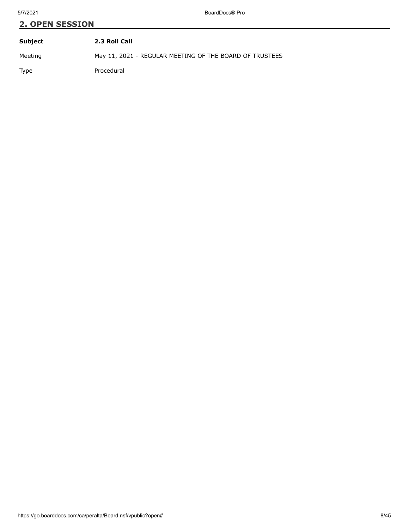| Subject | 2.3 Roll Call                                           |
|---------|---------------------------------------------------------|
| Meeting | May 11, 2021 - REGULAR MEETING OF THE BOARD OF TRUSTEES |
| Type    | Procedural                                              |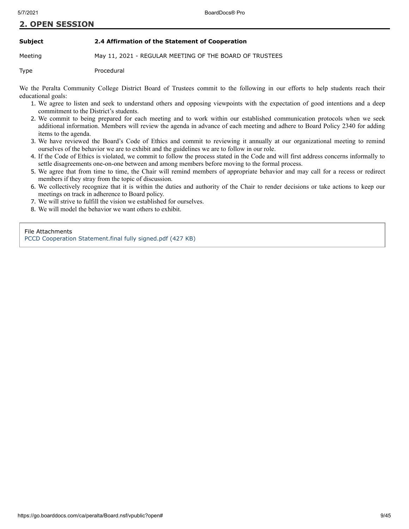#### **Subject 2.4 Affirmation of the Statement of Cooperation**

Meeting May 11, 2021 - REGULAR MEETING OF THE BOARD OF TRUSTEES

Type Procedural

We the Peralta Community College District Board of Trustees commit to the following in our efforts to help students reach their educational goals:

- 1. We agree to listen and seek to understand others and opposing viewpoints with the expectation of good intentions and a deep commitment to the District's students.
- 2. We commit to being prepared for each meeting and to work within our established communication protocols when we seek additional information. Members will review the agenda in advance of each meeting and adhere to Board Policy 2340 for adding items to the agenda.
- 3. We have reviewed the Board's Code of Ethics and commit to reviewing it annually at our organizational meeting to remind ourselves of the behavior we are to exhibit and the guidelines we are to follow in our role.
- 4. If the Code of Ethics is violated, we commit to follow the process stated in the Code and will first address concerns informally to settle disagreements one-on-one between and among members before moving to the formal process.
- 5. We agree that from time to time, the Chair will remind members of appropriate behavior and may call for a recess or redirect members if they stray from the topic of discussion.
- 6. We collectively recognize that it is within the duties and authority of the Chair to render decisions or take actions to keep our meetings on track in adherence to Board policy.
- 7. We will strive to fulfill the vision we established for ourselves.
- 8. We will model the behavior we want others to exhibit.

File Attachments [PCCD Cooperation Statement.final fully signed.pdf \(427 KB\)](https://go.boarddocs.com/ca/peralta/Board.nsf/files/BZ288D020EC3/$file/PCCD%20Cooperation%20Statement.final%20fully%20signed.pdf)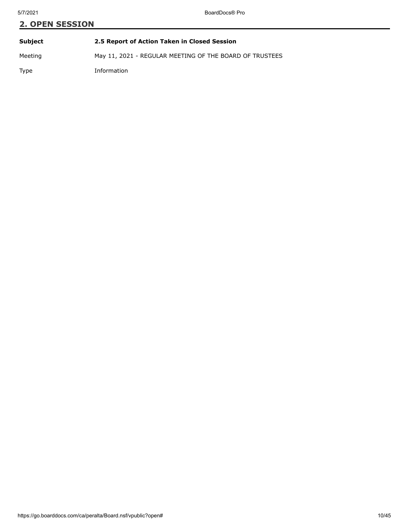# **2. OPEN SESSION Subject 2.5 Report of Action Taken in Closed Session**

Meeting May 11, 2021 - REGULAR MEETING OF THE BOARD OF TRUSTEES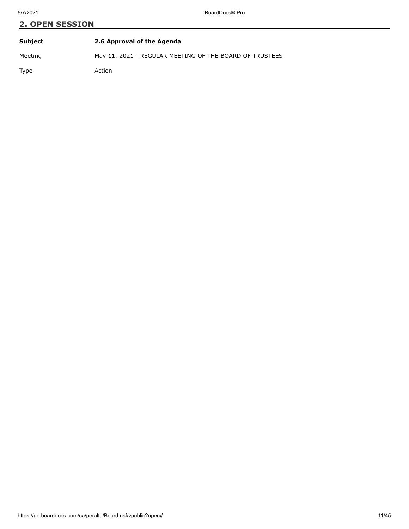| Subject | 2.6 Approval of the Agenda                              |  |  |
|---------|---------------------------------------------------------|--|--|
| Meeting | May 11, 2021 - REGULAR MEETING OF THE BOARD OF TRUSTEES |  |  |
| Type    | Action                                                  |  |  |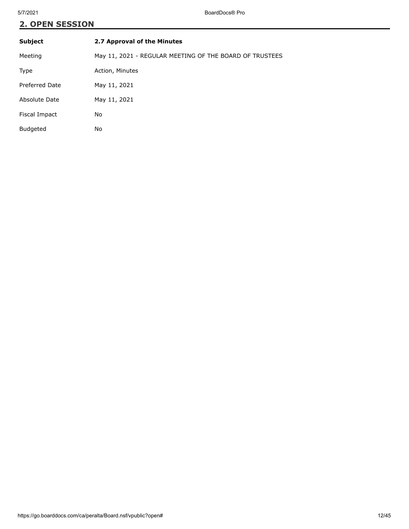| <b>Subject</b>  | 2.7 Approval of the Minutes                             |  |
|-----------------|---------------------------------------------------------|--|
| Meeting         | May 11, 2021 - REGULAR MEETING OF THE BOARD OF TRUSTEES |  |
| Type            | Action, Minutes                                         |  |
| Preferred Date  | May 11, 2021                                            |  |
| Absolute Date   | May 11, 2021                                            |  |
| Fiscal Impact   | No                                                      |  |
| <b>Budgeted</b> | No                                                      |  |
|                 |                                                         |  |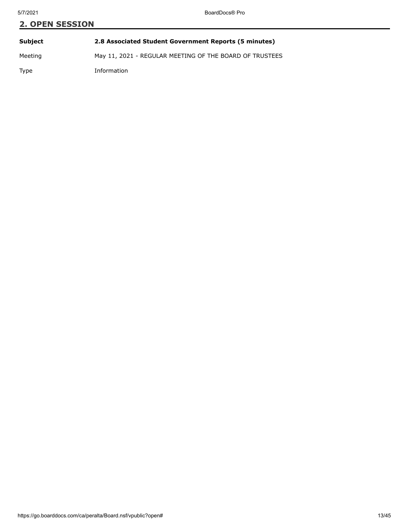| <b>2. OPEN SESSION</b> |                                                         |  |  |
|------------------------|---------------------------------------------------------|--|--|
|                        |                                                         |  |  |
| Subject                | 2.8 Associated Student Government Reports (5 minutes)   |  |  |
| Meeting                | May 11, 2021 - REGULAR MEETING OF THE BOARD OF TRUSTEES |  |  |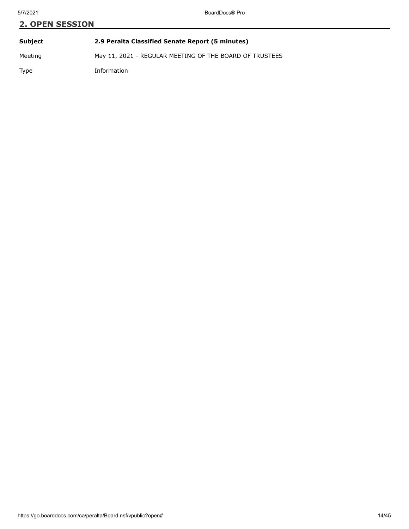# **2. OPEN SESSION Subject 2.9 Peralta Classified Senate Report (5 minutes)**

Meeting May 11, 2021 - REGULAR MEETING OF THE BOARD OF TRUSTEES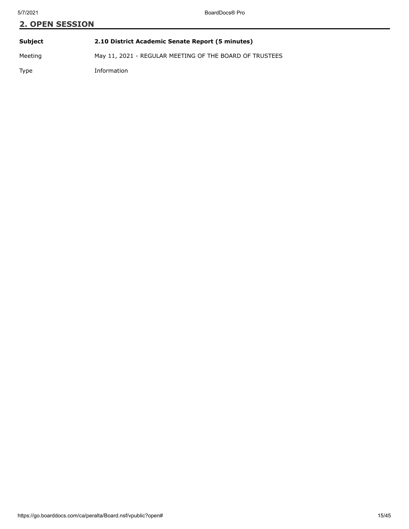# **2. OPEN SESSION Subject 2.10 District Academic Senate Report (5 minutes)**

Meeting May 11, 2021 - REGULAR MEETING OF THE BOARD OF TRUSTEES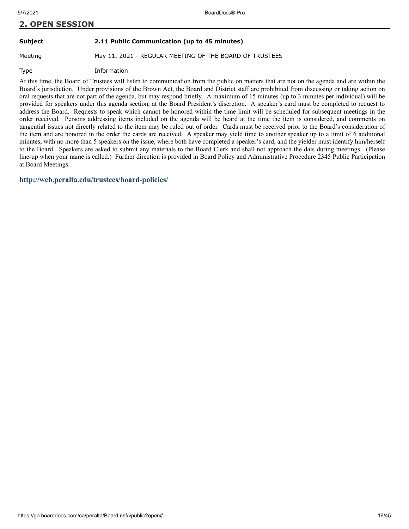#### **Subject 2.11 Public Communication (up to 45 minutes)**

Meeting May 11, 2021 - REGULAR MEETING OF THE BOARD OF TRUSTEES

Type Information

At this time, the Board of Trustees will listen to communication from the public on matters that are not on the agenda and are within the Board's jurisdiction. Under provisions of the Brown Act, the Board and District staff are prohibited from discussing or taking action on oral requests that are not part of the agenda, but may respond briefly. A maximum of 15 minutes (up to 3 minutes per individual) will be provided for speakers under this agenda section, at the Board President's discretion. A speaker's card must be completed to request to address the Board. Requests to speak which cannot be honored within the time limit will be scheduled for subsequent meetings in the order received. Persons addressing items included on the agenda will be heard at the time the item is considered, and comments on tangential issues not directly related to the item may be ruled out of order. Cards must be received prior to the Board's consideration of the item and are honored in the order the cards are received. A speaker may yield time to another speaker up to a limit of 6 additional minutes, with no more than 5 speakers on the issue, where both have completed a speaker's card, and the yielder must identify him/herself to the Board. Speakers are asked to submit any materials to the Board Clerk and shall not approach the dais during meetings. (Please line-up when your name is called.) Further direction is provided in Board Policy and Administrative Procedure 2345 Public Participation at Board Meetings.

**<http://web.peralta.edu/trustees/board-policies/>**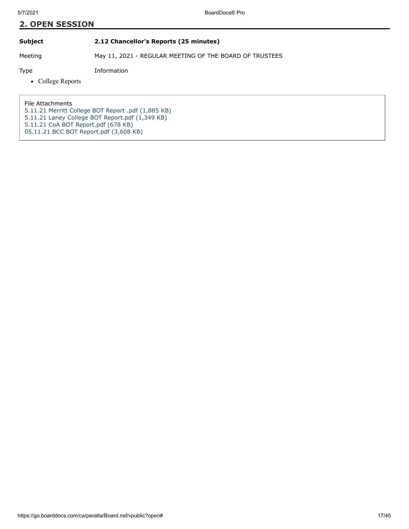**Subject 2.12 Chancellor's Reports (25 minutes)**

Meeting May 11, 2021 - REGULAR MEETING OF THE BOARD OF TRUSTEES

Type Information

• College Reports

File Attachments [5.11.21 Merritt College BOT Report .pdf \(1,885 KB\)](https://go.boarddocs.com/ca/peralta/Board.nsf/files/C2NV2N7EA729/$file/5.11.21%20Merritt%20College%20BOT%20Report%20.pdf) [5.11.21 Laney College BOT Report.pdf \(1,349 KB\)](https://go.boarddocs.com/ca/peralta/Board.nsf/files/C2R6NU827472/$file/5.11.21%20Laney%20College%20BOT%20Report.pdf) [5.11.21 CoA BOT Report.pdf \(678 KB\)](https://go.boarddocs.com/ca/peralta/Board.nsf/files/C2R6NW8276ED/$file/5.11.21%20CoA%20BOT%20Report.pdf) [05.11.21 BCC BOT Report.pdf \(3,608 KB\)](https://go.boarddocs.com/ca/peralta/Board.nsf/files/C2RRLF63BCC5/$file/05.11.21%20BCC%20BOT%20Report.pdf)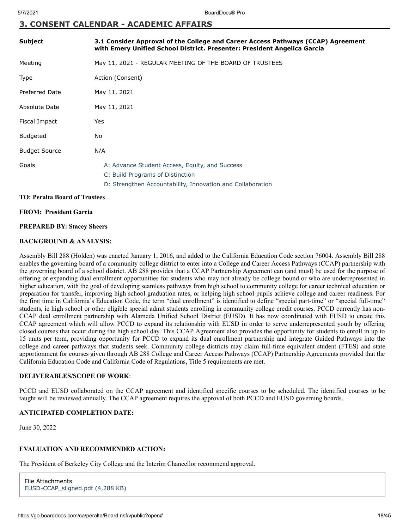# **3. CONSENT CALENDAR - ACADEMIC AFFAIRS**

| <b>Subject</b>        | 3.1 Consider Approval of the College and Career Access Pathways (CCAP) Agreement<br>with Emery Unified School District. Presenter: President Angelica Garcia |
|-----------------------|--------------------------------------------------------------------------------------------------------------------------------------------------------------|
| Meeting               | May 11, 2021 - REGULAR MEETING OF THE BOARD OF TRUSTEES                                                                                                      |
| Type                  | Action (Consent)                                                                                                                                             |
| <b>Preferred Date</b> | May 11, 2021                                                                                                                                                 |
| Absolute Date         | May 11, 2021                                                                                                                                                 |
| Fiscal Impact         | Yes                                                                                                                                                          |
| <b>Budgeted</b>       | No                                                                                                                                                           |
| <b>Budget Source</b>  | N/A                                                                                                                                                          |
| Goals                 | A: Advance Student Access, Equity, and Success<br>C: Build Programs of Distinction                                                                           |
|                       | D: Strengthen Accountability, Innovation and Collaboration                                                                                                   |

#### **TO: Peralta Board of Trustees**

#### **FROM: President Garcia**

#### **PREPARED BY: Stacey Sheers**

# **BACKGROUND & ANALYSIS:**

Assembly Bill 288 (Holden) was enacted January 1, 2016, and added to the California Education Code section 76004. Assembly Bill 288 enables the governing board of a community college district to enter into a College and Career Access Pathways (CCAP) partnership with the governing board of a school district. AB 288 provides that a CCAP Partnership Agreement can (and must) be used for the purpose of offering or expanding dual enrollment opportunities for students who may not already be college bound or who are underrepresented in higher education, with the goal of developing seamless pathways from high school to community college for career technical education or preparation for transfer, improving high school graduation rates, or helping high school pupils achieve college and career readiness. For the first time in California's Education Code, the term "dual enrollment" is identified to define "special part-time" or "special full-time" students, ie high school or other eligible special admit students enrolling in community college credit courses. PCCD currently has non-CCAP dual enrollment partnership with Alameda Unified School District (EUSD). It has now coordinated with EUSD to create this CCAP agreement which will allow PCCD to expand its relationship with EUSD in order to serve underrepresented youth by offering closed courses that occur during the high school day. This CCAP Agreement also provides the opportunity for students to enroll in up to 15 units per term, providing opportunity for PCCD to expand its dual enrollment partnership and integrate Guided Pathways into the college and career pathways that students seek. Community college districts may claim full-time equivalent student (FTES) and state apportionment for courses given through AB 288 College and Career Access Pathways (CCAP) Partnership Agreements provided that the California Education Code and California Code of Regulations, Title 5 requirements are met.

# **DELIVERABLES/SCOPE OF WORK**:

PCCD and EUSD collaborated on the CCAP agreement and identified specific courses to be scheduled. The identified courses to be taught will be reviewed annually. The CCAP agreement requires the approval of both PCCD and EUSD governing boards.

# **ANTICIPATED COMPLETION DATE:**

June 30, 2022

# **EVALUATION AND RECOMMENDED ACTION:**

The President of Berkeley City College and the Interim Chancellor recommend approval.

```
File Attachments
EUSD-CCAP_siigned.pdf (4,288 KB)
```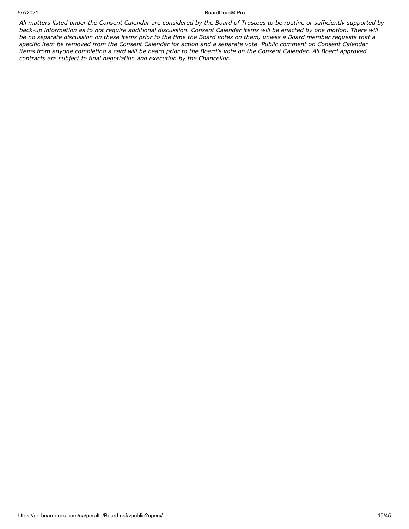#### 5/7/2021 BoardDocs® Pro

*All matters listed under the Consent Calendar are considered by the Board of Trustees to be routine or sufficiently supported by back-up information as to not require additional discussion. Consent Calendar items will be enacted by one motion. There will be no separate discussion on these items prior to the time the Board votes on them, unless a Board member requests that a specific item be removed from the Consent Calendar for action and a separate vote. Public comment on Consent Calendar items from anyone completing a card will be heard prior to the Board's vote on the Consent Calendar. All Board approved contracts are subject to final negotiation and execution by the Chancellor.*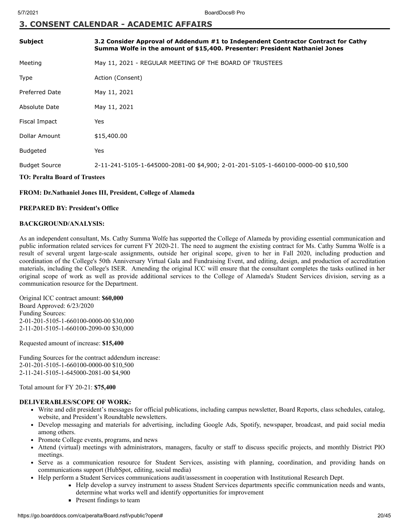# **3. CONSENT CALENDAR - ACADEMIC AFFAIRS**

| <b>Subject</b>                       | 3.2 Consider Approval of Addendum #1 to Independent Contractor Contract for Cathy<br>Summa Wolfe in the amount of \$15,400. Presenter: President Nathaniel Jones |  |  |
|--------------------------------------|------------------------------------------------------------------------------------------------------------------------------------------------------------------|--|--|
| Meeting                              | May 11, 2021 - REGULAR MEETING OF THE BOARD OF TRUSTEES                                                                                                          |  |  |
| <b>Type</b>                          | Action (Consent)                                                                                                                                                 |  |  |
| <b>Preferred Date</b>                | May 11, 2021                                                                                                                                                     |  |  |
| Absolute Date                        | May 11, 2021                                                                                                                                                     |  |  |
| Fiscal Impact                        | Yes                                                                                                                                                              |  |  |
| Dollar Amount                        | \$15,400.00                                                                                                                                                      |  |  |
| <b>Budgeted</b>                      | Yes                                                                                                                                                              |  |  |
| <b>Budget Source</b>                 | 2-11-241-5105-1-645000-2081-00 \$4,900; 2-01-201-5105-1-660100-0000-00 \$10,500                                                                                  |  |  |
| <b>TO: Peralta Board of Trustees</b> |                                                                                                                                                                  |  |  |

# **FROM: Dr.Nathaniel Jones III, President, College of Alameda**

# **PREPARED BY: President's Office**

# **BACKGROUND/ANALYSIS:**

As an independent consultant, Ms. Cathy Summa Wolfe has supported the College of Alameda by providing essential communication and public information related services for current FY 2020-21. The need to augment the existing contract for Ms. Cathy Summa Wolfe is a result of several urgent large-scale assignments, outside her original scope, given to her in Fall 2020, including production and coordination of the College's 50th Anniversary Virtual Gala and Fundraising Event, and editing, design, and production of accreditation materials, including the College's ISER. Amending the original ICC will ensure that the consultant completes the tasks outlined in her original scope of work as well as provide additional services to the College of Alameda's Student Services division, serving as a communication resource for the Department.

Original ICC contract amount: **\$60,000** Board Approved: 6/23/2020 Funding Sources: 2-01-201-5105-1-660100-0000-00 \$30,000 2-11-201-5105-1-660100-2090-00 \$30,000

Requested amount of increase: **\$15,400**

Funding Sources for the contract addendum increase: 2-01-201-5105-1-660100-0000-00 \$10,500 2-11-241-5105-1-645000-2081-00 \$4,900

Total amount for FY 20-21: **\$75,400**

# **DELIVERABLES/SCOPE OF WORK:**

- Write and edit president's messages for official publications, including campus newsletter, Board Reports, class schedules, catalog, website, and President's Roundtable newsletters.
- Develop messaging and materials for advertising, including Google Ads, Spotify, newspaper, broadcast, and paid social media among others.
- Promote College events, programs, and news
- Attend (virtual) meetings with administrators, managers, faculty or staff to discuss specific projects, and monthly District PIO meetings.
- Serve as a communication resource for Student Services, assisting with planning, coordination, and providing hands on communications support (HubSpot, editing, social media)
- Help perform a Student Services communications audit/assessment in cooperation with Institutional Research Dept.
	- Help develop a survey instrument to assess Student Services departments specific communication needs and wants, determine what works well and identify opportunities for improvement
	- **Present findings to team**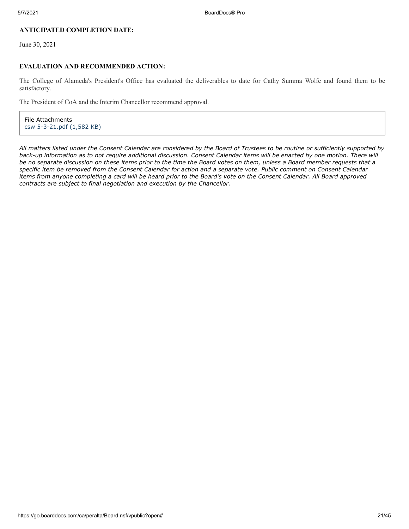# **ANTICIPATED COMPLETION DATE:**

June 30, 2021

# **EVALUATION AND RECOMMENDED ACTION:**

The College of Alameda's President's Office has evaluated the deliverables to date for Cathy Summa Wolfe and found them to be satisfactory.

The President of CoA and the Interim Chancellor recommend approval.

File Attachments [csw 5-3-21.pdf \(1,582 KB\)](https://go.boarddocs.com/ca/peralta/Board.nsf/files/C2PV6X7F23F5/$file/csw%205-3-21.pdf)

*All matters listed under the Consent Calendar are considered by the Board of Trustees to be routine or sufficiently supported by back-up information as to not require additional discussion. Consent Calendar items will be enacted by one motion. There will be no separate discussion on these items prior to the time the Board votes on them, unless a Board member requests that a specific item be removed from the Consent Calendar for action and a separate vote. Public comment on Consent Calendar items from anyone completing a card will be heard prior to the Board's vote on the Consent Calendar. All Board approved contracts are subject to final negotiation and execution by the Chancellor.*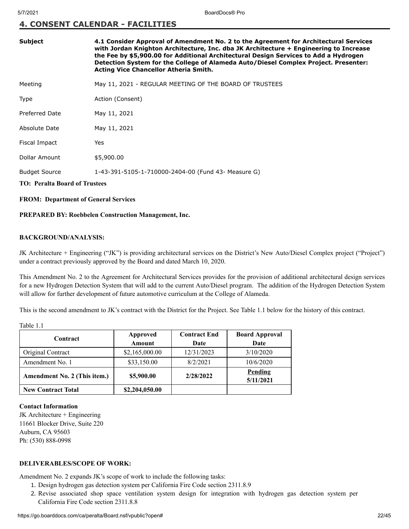# **4. CONSENT CALENDAR - FACILITIES**

| <b>Subject</b>                       | 4.1 Consider Approval of Amendment No. 2 to the Agreement for Architectural Services<br>with Jordan Knighton Architecture, Inc. dba JK Architecture + Engineering to Increase<br>the Fee by \$5,900.00 for Additional Architectural Design Services to Add a Hydrogen<br>Detection System for the College of Alameda Auto/Diesel Complex Project. Presenter:<br><b>Acting Vice Chancellor Atheria Smith.</b> |  |
|--------------------------------------|--------------------------------------------------------------------------------------------------------------------------------------------------------------------------------------------------------------------------------------------------------------------------------------------------------------------------------------------------------------------------------------------------------------|--|
| Meeting                              | May 11, 2021 - REGULAR MEETING OF THE BOARD OF TRUSTEES                                                                                                                                                                                                                                                                                                                                                      |  |
| Type                                 | Action (Consent)                                                                                                                                                                                                                                                                                                                                                                                             |  |
| <b>Preferred Date</b>                | May 11, 2021                                                                                                                                                                                                                                                                                                                                                                                                 |  |
| Absolute Date                        | May 11, 2021                                                                                                                                                                                                                                                                                                                                                                                                 |  |
| Fiscal Impact                        | Yes                                                                                                                                                                                                                                                                                                                                                                                                          |  |
| Dollar Amount                        | \$5,900.00                                                                                                                                                                                                                                                                                                                                                                                                   |  |
| <b>Budget Source</b>                 | 1-43-391-5105-1-710000-2404-00 (Fund 43- Measure G)                                                                                                                                                                                                                                                                                                                                                          |  |
| <b>TO: Peralta Board of Trustees</b> |                                                                                                                                                                                                                                                                                                                                                                                                              |  |

# **FROM: Department of General Services**

#### **PREPARED BY: Roebbelen Construction Management, Inc.**

# **BACKGROUND/ANALYSIS:**

JK Architecture + Engineering ("JK") is providing architectural services on the District's New Auto/Diesel Complex project ("Project") under a contract previously approved by the Board and dated March 10, 2020.

This Amendment No. 2 to the Agreement for Architectural Services provides for the provision of additional architectural design services for a new Hydrogen Detection System that will add to the current Auto/Diesel program. The addition of the Hydrogen Detection System will allow for further development of future automotive curriculum at the College of Alameda.

This is the second amendment to JK's contract with the District for the Project. See Table 1.1 below for the history of this contract.

Table 1.1

| Contract                     | Approved<br>Amount | <b>Contract End</b><br>Date | <b>Board Approval</b><br>Date |
|------------------------------|--------------------|-----------------------------|-------------------------------|
| Original Contract            | \$2,165,000.00     | 12/31/2023                  | 3/10/2020                     |
| Amendment No. 1              | \$33,150.00        | 8/2/2021                    | 10/6/2020                     |
| Amendment No. 2 (This item.) | \$5,900.00         | 2/28/2022                   | Pending<br>5/11/2021          |
| <b>New Contract Total</b>    | \$2,204,050.00     |                             |                               |

#### **Contact Information**

JK Architecture + Engineering 11661 Blocker Drive, Suite 220 Auburn, CA 95603 Ph: (530) 888-0998

# **DELIVERABLES/SCOPE OF WORK:**

Amendment No. 2 expands JK's scope of work to include the following tasks:

- 1. Design hydrogen gas detection system per California Fire Code section 2311.8.9
- 2. Revise associated shop space ventilation system design for integration with hydrogen gas detection system per California Fire Code section 2311.8.8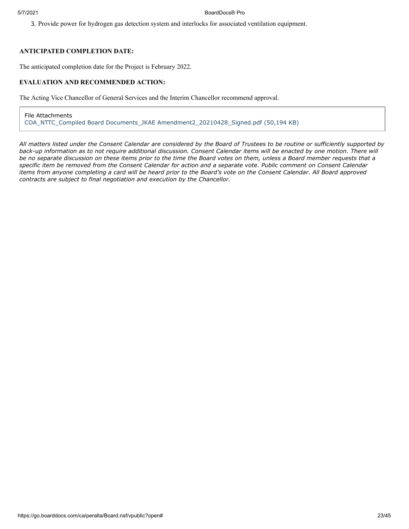#### 5/7/2021 BoardDocs® Pro

3. Provide power for hydrogen gas detection system and interlocks for associated ventilation equipment.

# **ANTICIPATED COMPLETION DATE:**

The anticipated completion date for the Project is February 2022.

# **EVALUATION AND RECOMMENDED ACTION:**

The Acting Vice Chancellor of General Services and the Interim Chancellor recommend approval.

File Attachments [COA\\_NTTC\\_Compiled Board Documents\\_JKAE Amendment2\\_20210428\\_Signed.pdf \(50,194 KB\)](https://go.boarddocs.com/ca/peralta/Board.nsf/files/C2HV297E8722/$file/COA_NTTC_Compiled%20Board%20Documents_JKAE%20Amendment2_20210428_Signed.pdf)

*All matters listed under the Consent Calendar are considered by the Board of Trustees to be routine or sufficiently supported by back-up information as to not require additional discussion. Consent Calendar items will be enacted by one motion. There will be no separate discussion on these items prior to the time the Board votes on them, unless a Board member requests that a specific item be removed from the Consent Calendar for action and a separate vote. Public comment on Consent Calendar items from anyone completing a card will be heard prior to the Board's vote on the Consent Calendar. All Board approved contracts are subject to final negotiation and execution by the Chancellor.*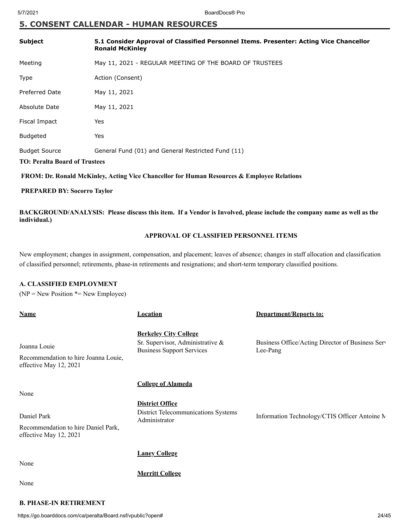# **5. CONSENT CALLENDAR - HUMAN RESOURCES**

| <b>Subject</b>                       | 5.1 Consider Approval of Classified Personnel Items. Presenter: Acting Vice Chancellor<br><b>Ronald McKinley</b> |  |
|--------------------------------------|------------------------------------------------------------------------------------------------------------------|--|
| Meeting                              | May 11, 2021 - REGULAR MEETING OF THE BOARD OF TRUSTEES                                                          |  |
| Type                                 | Action (Consent)                                                                                                 |  |
| <b>Preferred Date</b>                | May 11, 2021                                                                                                     |  |
| Absolute Date                        | May 11, 2021                                                                                                     |  |
| Fiscal Impact                        | Yes                                                                                                              |  |
| <b>Budgeted</b>                      | Yes                                                                                                              |  |
| <b>Budget Source</b>                 | General Fund (01) and General Restricted Fund (11)                                                               |  |
| <b>TO: Peralta Board of Trustees</b> |                                                                                                                  |  |

 **FROM: Dr. Ronald McKinley, Acting Vice Chancellor for Human Resources & Employee Relations**

# **PREPARED BY: Socorro Taylor**

**BACKGROUND/ANALYSIS: Please discuss this item. If a Vendor is Involved, please include the company name as well as the individual.)**

# **APPROVAL OF CLASSIFIED PERSONNEL ITEMS**

New employment; changes in assignment, compensation, and placement; leaves of absence; changes in staff allocation and classification of classified personnel; retirements, phase-in retirements and resignations; and short-term temporary classified positions.

# **A. CLASSIFIED EMPLOYMENT**

 $(NP = New Position * = New Employee)$ 

| <b>Name</b>                                                                          | <b>Location</b>                                                                                                    | Department/Reports to:                                       |
|--------------------------------------------------------------------------------------|--------------------------------------------------------------------------------------------------------------------|--------------------------------------------------------------|
| Joanna Louie<br>Recommendation to hire Joanna Louie,<br>effective May 12, 2021       | <b>Berkeley City College</b><br>Sr. Supervisor, Administrative &<br><b>Business Support Services</b>               | Business Office/Acting Director of Business Serv<br>Lee-Pang |
| None<br>Daniel Park<br>Recommendation to hire Daniel Park,<br>effective May 12, 2021 | <b>College of Alameda</b><br><b>District Office</b><br><b>District Telecommunications Systems</b><br>Administrator | Information Technology/CTIS Officer Antoine M                |
| None<br>None                                                                         | <b>Laney College</b><br><b>Merritt College</b>                                                                     |                                                              |
| <b>B. PHASE-IN RETIREMENT</b>                                                        |                                                                                                                    |                                                              |

# https://go.boarddocs.com/ca/peralta/Board.nsf/vpublic?open# 24/45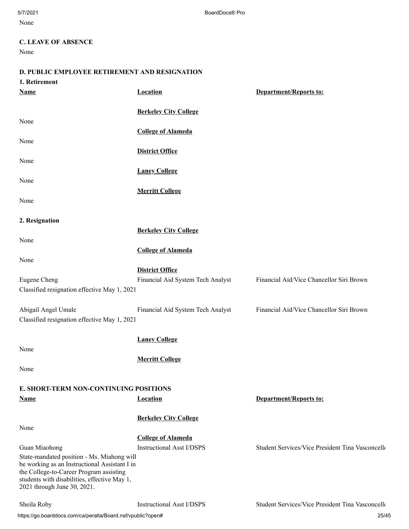None

# **C. LEAVE OF ABSENCE**

None

# **D. PUBLIC EMPLOYEE RETIREMENT AND RESIGNATION**

| 1. Retirement                                                                           |                                   |                                                  |
|-----------------------------------------------------------------------------------------|-----------------------------------|--------------------------------------------------|
| <b>Name</b>                                                                             | Location                          | <b>Department/Reports to:</b>                    |
|                                                                                         | <b>Berkeley City College</b>      |                                                  |
| None                                                                                    |                                   |                                                  |
|                                                                                         | <b>College of Alameda</b>         |                                                  |
| None                                                                                    |                                   |                                                  |
|                                                                                         | <b>District Office</b>            |                                                  |
| None                                                                                    |                                   |                                                  |
|                                                                                         | <b>Laney College</b>              |                                                  |
| None                                                                                    |                                   |                                                  |
|                                                                                         | <b>Merritt College</b>            |                                                  |
| None                                                                                    |                                   |                                                  |
|                                                                                         |                                   |                                                  |
| 2. Resignation                                                                          |                                   |                                                  |
|                                                                                         | <b>Berkeley City College</b>      |                                                  |
| None                                                                                    |                                   |                                                  |
|                                                                                         | <b>College of Alameda</b>         |                                                  |
| None                                                                                    |                                   |                                                  |
| Eugene Cheng                                                                            | <b>District Office</b>            | Financial Aid/Vice Chancellor Siri Brown         |
| Classified resignation effective May 1, 2021                                            | Financial Aid System Tech Analyst |                                                  |
|                                                                                         |                                   |                                                  |
| Abigail Angel Umale                                                                     | Financial Aid System Tech Analyst | Financial Aid/Vice Chancellor Siri Brown         |
| Classified resignation effective May 1, 2021                                            |                                   |                                                  |
|                                                                                         |                                   |                                                  |
|                                                                                         | <b>Laney College</b>              |                                                  |
| None                                                                                    |                                   |                                                  |
|                                                                                         | <b>Merritt College</b>            |                                                  |
| None                                                                                    |                                   |                                                  |
|                                                                                         |                                   |                                                  |
| E. SHORT-TERM NON-CONTINUING POSITIONS                                                  |                                   |                                                  |
| <b>Name</b>                                                                             | <b>Location</b>                   | <b>Department/Reports to:</b>                    |
|                                                                                         | <b>Berkeley City College</b>      |                                                  |
| None                                                                                    |                                   |                                                  |
|                                                                                         | <b>College of Alameda</b>         |                                                  |
| Guan Miaohong                                                                           | <b>Instructional Asst I/DSPS</b>  | Student Services/Vice President Tina Vasconcello |
| State-mandated position - Ms. Miahong will                                              |                                   |                                                  |
| be working as an Instructional Assistant I in                                           |                                   |                                                  |
| the College-to-Career Program assisting<br>students with disabilities, effective May 1, |                                   |                                                  |
| 2021 through June 30, 2021.                                                             |                                   |                                                  |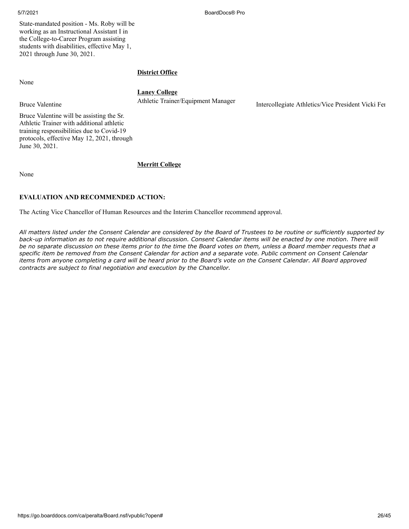5/7/2021 BoardDocs® Pro

State-mandated position - Ms. Roby will be working as an Instructional Assistant I in the College-to-Career Program assisting students with disabilities, effective May 1, 2021 through June 30, 2021.

None

# **District Office**

# **Laney College**

Bruce Valentine Athletic Trainer/Equipment Manager Intercollegiate Athletics/Vice President Vicki Fer

Bruce Valentine will be assisting the Sr. Athletic Trainer with additional athletic training responsibilities due to Covid-19 protocols, effective May 12, 2021, through June 30, 2021.

None

# **Merritt College**

# **EVALUATION AND RECOMMENDED ACTION:**

The Acting Vice Chancellor of Human Resources and the Interim Chancellor recommend approval.

*All matters listed under the Consent Calendar are considered by the Board of Trustees to be routine or sufficiently supported by back-up information as to not require additional discussion. Consent Calendar items will be enacted by one motion. There will be no separate discussion on these items prior to the time the Board votes on them, unless a Board member requests that a specific item be removed from the Consent Calendar for action and a separate vote. Public comment on Consent Calendar items from anyone completing a card will be heard prior to the Board's vote on the Consent Calendar. All Board approved contracts are subject to final negotiation and execution by the Chancellor.*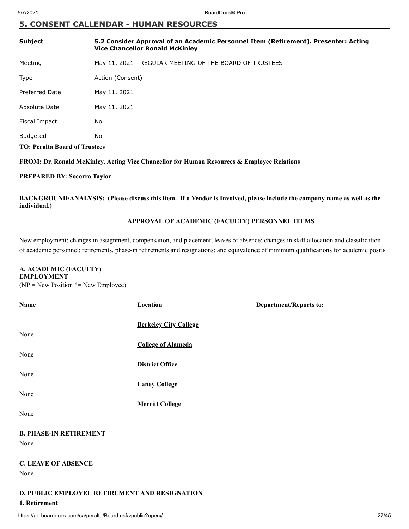# **5. CONSENT CALLENDAR - HUMAN RESOURCES**

| <b>Subject</b>                       | 5.2 Consider Approval of an Academic Personnel Item (Retirement). Presenter: Acting<br><b>Vice Chancellor Ronald McKinley</b> |
|--------------------------------------|-------------------------------------------------------------------------------------------------------------------------------|
| Meeting                              | May 11, 2021 - REGULAR MEETING OF THE BOARD OF TRUSTEES                                                                       |
| <b>Type</b>                          | Action (Consent)                                                                                                              |
| Preferred Date                       | May 11, 2021                                                                                                                  |
| Absolute Date                        | May 11, 2021                                                                                                                  |
| Fiscal Impact                        | No                                                                                                                            |
| <b>Budgeted</b>                      | No                                                                                                                            |
| <b>TO: Peralta Board of Trustees</b> |                                                                                                                               |

# **FROM: Dr. Ronald McKinley, Acting Vice Chancellor for Human Resources & Employee Relations**

# **PREPARED BY: Socorro Taylor**

**BACKGROUND/ANALYSIS: (Please discuss this item. If a Vendor is Involved, please include the company name as well as the individual.)**

# **APPROVAL OF ACADEMIC (FACULTY) PERSONNEL ITEMS**

New employment; changes in assignment, compensation, and placement; leaves of absence; changes in staff allocation and classification of academic personnel; retirements, phase-in retirements and resignations; and equivalence of minimum qualifications for academic positio

# **A. ACADEMIC (FACULTY)**

# **EMPLOYMENT**

 $(NP = New Position * = New Employee)$ 

| <b>Name</b>                                   | <b>Location</b>              | Department/Reports to: |  |  |  |  |  |
|-----------------------------------------------|------------------------------|------------------------|--|--|--|--|--|
|                                               |                              |                        |  |  |  |  |  |
| None                                          | <b>Berkeley City College</b> |                        |  |  |  |  |  |
|                                               | <b>College of Alameda</b>    |                        |  |  |  |  |  |
| None                                          |                              |                        |  |  |  |  |  |
|                                               | <b>District Office</b>       |                        |  |  |  |  |  |
| None                                          |                              |                        |  |  |  |  |  |
|                                               | <b>Laney College</b>         |                        |  |  |  |  |  |
| None                                          |                              |                        |  |  |  |  |  |
|                                               | <b>Merritt College</b>       |                        |  |  |  |  |  |
| None                                          |                              |                        |  |  |  |  |  |
|                                               |                              |                        |  |  |  |  |  |
| <b>B. PHASE-IN RETIREMENT</b>                 |                              |                        |  |  |  |  |  |
| None                                          |                              |                        |  |  |  |  |  |
|                                               |                              |                        |  |  |  |  |  |
| <b>C. LEAVE OF ABSENCE</b>                    |                              |                        |  |  |  |  |  |
| None                                          |                              |                        |  |  |  |  |  |
|                                               |                              |                        |  |  |  |  |  |
| D. PUBLIC EMPLOYEE RETIREMENT AND RESIGNATION |                              |                        |  |  |  |  |  |

# **1. Retirement**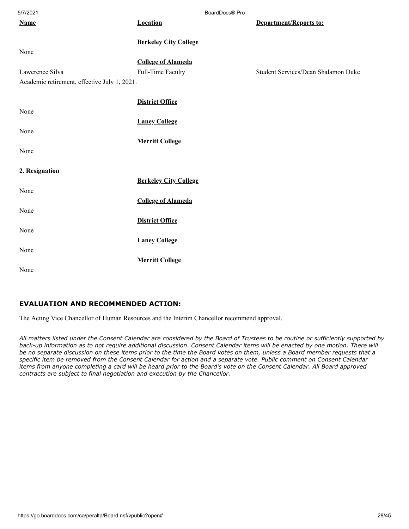| 5/7/2021                                     |                              | BoardDocs® Pro |                                     |  |
|----------------------------------------------|------------------------------|----------------|-------------------------------------|--|
| <b>Name</b>                                  | <b>Location</b>              |                | <b>Department/Reports to:</b>       |  |
|                                              |                              |                |                                     |  |
|                                              | <b>Berkeley City College</b> |                |                                     |  |
| None                                         |                              |                |                                     |  |
|                                              | <b>College of Alameda</b>    |                |                                     |  |
| Lawerence Silva                              | Full-Time Faculty            |                | Student Services/Dean Shalamon Duke |  |
| Academic retirement, effective July 1, 2021. |                              |                |                                     |  |
|                                              |                              |                |                                     |  |
|                                              | <b>District Office</b>       |                |                                     |  |
| None                                         |                              |                |                                     |  |
|                                              | <b>Laney College</b>         |                |                                     |  |
| None                                         |                              |                |                                     |  |
|                                              |                              |                |                                     |  |
|                                              | <b>Merritt College</b>       |                |                                     |  |
| None                                         |                              |                |                                     |  |
|                                              |                              |                |                                     |  |
| 2. Resignation                               |                              |                |                                     |  |
|                                              | <b>Berkeley City College</b> |                |                                     |  |
| None                                         |                              |                |                                     |  |
|                                              | <b>College of Alameda</b>    |                |                                     |  |
| None                                         |                              |                |                                     |  |
|                                              | <b>District Office</b>       |                |                                     |  |
| None                                         |                              |                |                                     |  |
|                                              | <b>Laney College</b>         |                |                                     |  |
| None                                         |                              |                |                                     |  |
|                                              |                              |                |                                     |  |
|                                              | <b>Merritt College</b>       |                |                                     |  |
| None                                         |                              |                |                                     |  |

# **EVALUATION AND RECOMMENDED ACTION:**

The Acting Vice Chancellor of Human Resources and the Interim Chancellor recommend approval.

*All matters listed under the Consent Calendar are considered by the Board of Trustees to be routine or sufficiently supported by* back-up information as to not require additional discussion. Consent Calendar items will be enacted by one motion. There will *be no separate discussion on these items prior to the time the Board votes on them, unless a Board member requests that a specific item be removed from the Consent Calendar for action and a separate vote. Public comment on Consent Calendar items from anyone completing a card will be heard prior to the Board's vote on the Consent Calendar. All Board approved contracts are subject to final negotiation and execution by the Chancellor.*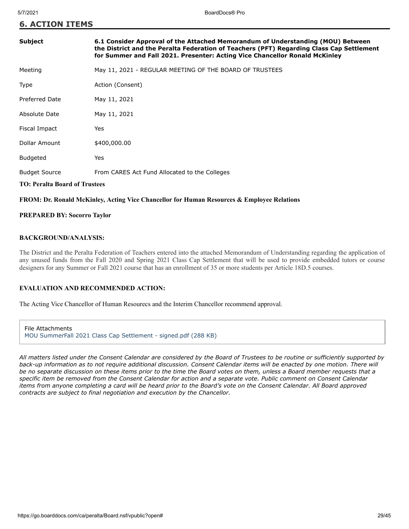| <b>Subject</b>                       | 6.1 Consider Approval of the Attached Memorandum of Understanding (MOU) Between<br>the District and the Peralta Federation of Teachers (PFT) Regarding Class Cap Settlement<br>for Summer and Fall 2021. Presenter: Acting Vice Chancellor Ronald McKinley |
|--------------------------------------|------------------------------------------------------------------------------------------------------------------------------------------------------------------------------------------------------------------------------------------------------------|
| Meeting                              | May 11, 2021 - REGULAR MEETING OF THE BOARD OF TRUSTEES                                                                                                                                                                                                    |
| Type                                 | Action (Consent)                                                                                                                                                                                                                                           |
| Preferred Date                       | May 11, 2021                                                                                                                                                                                                                                               |
| Absolute Date                        | May 11, 2021                                                                                                                                                                                                                                               |
| Fiscal Impact                        | Yes                                                                                                                                                                                                                                                        |
| Dollar Amount                        | \$400,000.00                                                                                                                                                                                                                                               |
| <b>Budgeted</b>                      | <b>Yes</b>                                                                                                                                                                                                                                                 |
| <b>Budget Source</b>                 | From CARES Act Fund Allocated to the Colleges                                                                                                                                                                                                              |
| <b>TO: Peralta Board of Trustees</b> |                                                                                                                                                                                                                                                            |

# **FROM: Dr. Ronald McKinley, Acting Vice Chancellor for Human Resources & Employee Relations**

#### **PREPARED BY: Socorro Taylor**

#### **BACKGROUND/ANALYSIS:**

The District and the Peralta Federation of Teachers entered into the attached Memorandum of Understanding regarding the application of any unused funds from the Fall 2020 and Spring 2021 Class Cap Settlement that will be used to provide embedded tutors or course designers for any Summer or Fall 2021 course that has an enrollment of 35 or more students per Article 18D.5 courses.

# **EVALUATION AND RECOMMENDED ACTION:**

The Acting Vice Chancellor of Human Resourecs and the Interim Chancellor recommend approval.

File Attachments [MOU SummerFall 2021 Class Cap Settlement - signed.pdf \(288 KB\)](https://go.boarddocs.com/ca/peralta/Board.nsf/files/C2GUSP7D7C0D/$file/MOU%20SummerFall%202021%20Class%20Cap%20Settlement%20-%20signed.pdf)

*All matters listed under the Consent Calendar are considered by the Board of Trustees to be routine or sufficiently supported by back-up information as to not require additional discussion. Consent Calendar items will be enacted by one motion. There will be no separate discussion on these items prior to the time the Board votes on them, unless a Board member requests that a specific item be removed from the Consent Calendar for action and a separate vote. Public comment on Consent Calendar items from anyone completing a card will be heard prior to the Board's vote on the Consent Calendar. All Board approved contracts are subject to final negotiation and execution by the Chancellor.*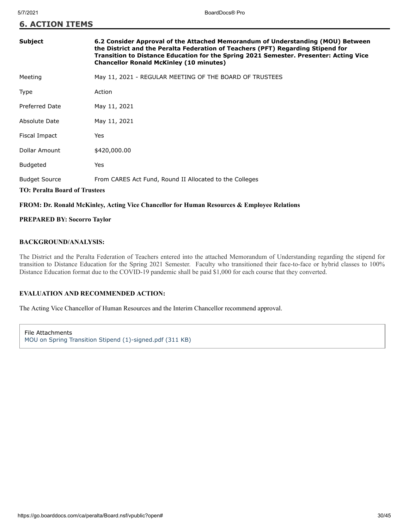| <b>Subject</b>                                               | 6.2 Consider Approval of the Attached Memorandum of Understanding (MOU) Between<br>the District and the Peralta Federation of Teachers (PFT) Regarding Stipend for<br>Transition to Distance Education for the Spring 2021 Semester. Presenter: Acting Vice<br><b>Chancellor Ronald McKinley (10 minutes)</b> |
|--------------------------------------------------------------|---------------------------------------------------------------------------------------------------------------------------------------------------------------------------------------------------------------------------------------------------------------------------------------------------------------|
| Meeting                                                      | May 11, 2021 - REGULAR MEETING OF THE BOARD OF TRUSTEES                                                                                                                                                                                                                                                       |
| Type                                                         | Action                                                                                                                                                                                                                                                                                                        |
| Preferred Date                                               | May 11, 2021                                                                                                                                                                                                                                                                                                  |
| Absolute Date                                                | May 11, 2021                                                                                                                                                                                                                                                                                                  |
| Fiscal Impact                                                | Yes                                                                                                                                                                                                                                                                                                           |
| Dollar Amount                                                | \$420,000.00                                                                                                                                                                                                                                                                                                  |
| <b>Budgeted</b>                                              | Yes                                                                                                                                                                                                                                                                                                           |
| <b>Budget Source</b><br><b>TO: Peralta Board of Trustees</b> | From CARES Act Fund, Round II Allocated to the Colleges                                                                                                                                                                                                                                                       |

# **FROM: Dr. Ronald McKinley, Acting Vice Chancellor for Human Resources & Employee Relations**

**PREPARED BY: Socorro Taylor**

# **BACKGROUND/ANALYSIS:**

The District and the Peralta Federation of Teachers entered into the attached Memorandum of Understanding regarding the stipend for transition to Distance Education for the Spring 2021 Semester. Faculty who transitioned their face-to-face or hybrid classes to 100% Distance Education format due to the COVID-19 pandemic shall be paid \$1,000 for each course that they converted.

# **EVALUATION AND RECOMMENDED ACTION:**

The Acting Vice Chancellor of Human Resources and the Interim Chancellor recommend approval.

File Attachments [MOU on Spring Transition Stipend \(1\)-signed.pdf \(311 KB\)](https://go.boarddocs.com/ca/peralta/Board.nsf/files/C2FNB25B8639/$file/MOU%20on%20Spring%20Transition%20Stipend%20(1)-signed.pdf)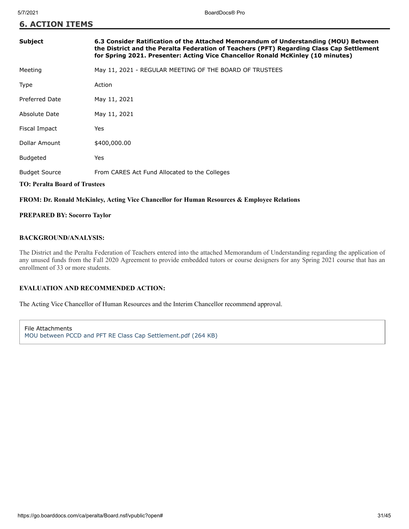| <b>Subject</b>                       | 6.3 Consider Ratification of the Attached Memorandum of Understanding (MOU) Between<br>the District and the Peralta Federation of Teachers (PFT) Regarding Class Cap Settlement<br>for Spring 2021. Presenter: Acting Vice Chancellor Ronald McKinley (10 minutes) |
|--------------------------------------|--------------------------------------------------------------------------------------------------------------------------------------------------------------------------------------------------------------------------------------------------------------------|
| Meeting                              | May 11, 2021 - REGULAR MEETING OF THE BOARD OF TRUSTEES                                                                                                                                                                                                            |
| Type                                 | Action                                                                                                                                                                                                                                                             |
| Preferred Date                       | May 11, 2021                                                                                                                                                                                                                                                       |
| Absolute Date                        | May 11, 2021                                                                                                                                                                                                                                                       |
| Fiscal Impact                        | Yes                                                                                                                                                                                                                                                                |
| Dollar Amount                        | \$400,000.00                                                                                                                                                                                                                                                       |
| <b>Budgeted</b>                      | Yes                                                                                                                                                                                                                                                                |
| <b>Budget Source</b>                 | From CARES Act Fund Allocated to the Colleges                                                                                                                                                                                                                      |
| <b>TO: Peralta Board of Trustees</b> |                                                                                                                                                                                                                                                                    |

# **FROM: Dr. Ronald McKinley, Acting Vice Chancellor for Human Resources & Employee Relations**

# **PREPARED BY: Socorro Taylor**

# **BACKGROUND/ANALYSIS:**

The District and the Peralta Federation of Teachers entered into the attached Memorandum of Understanding regarding the application of any unused funds from the Fall 2020 Agreement to provide embedded tutors or course designers for any Spring 2021 course that has an enrollment of 33 or more students.

# **EVALUATION AND RECOMMENDED ACTION:**

The Acting Vice Chancellor of Human Resources and the Interim Chancellor recommend approval.

File Attachments [MOU between PCCD and PFT RE Class Cap Settlement.pdf \(264 KB\)](https://go.boarddocs.com/ca/peralta/Board.nsf/files/C2GUD87B7DF0/$file/MOU%20between%20PCCD%20and%20PFT%20RE%20%20Class%20Cap%20Settlement.pdf)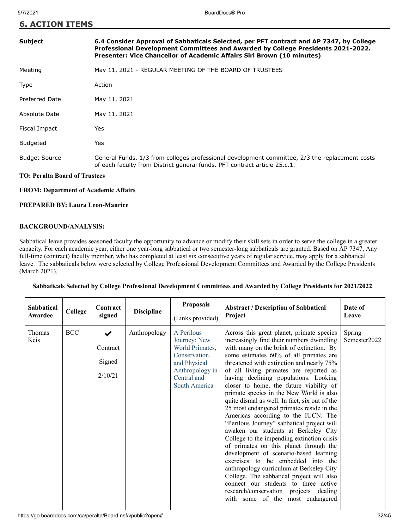| <b>6. ACTION ITEMS</b> |  |
|------------------------|--|
|------------------------|--|

# **Subject 6.4 Consider Approval of Sabbaticals Selected, per PFT contract and AP 7347, by College Professional Development Committees and Awarded by College Presidents 2021-2022. Presenter: Vice Chancellor of Academic Affairs Siri Brown (10 minutes)**

| Meeting |  |  |  | May 11, 2021 - REGULAR MEETING OF THE BOARD OF TRUSTEES |
|---------|--|--|--|---------------------------------------------------------|
|         |  |  |  |                                                         |

| <b>Type</b>           | Action                                                                                                                                                                      |
|-----------------------|-----------------------------------------------------------------------------------------------------------------------------------------------------------------------------|
| <b>Preferred Date</b> | May 11, 2021                                                                                                                                                                |
| Absolute Date         | May 11, 2021                                                                                                                                                                |
| Fiscal Impact         | Yes                                                                                                                                                                         |
| Budgeted              | Yes                                                                                                                                                                         |
| <b>Budget Source</b>  | General Funds. 1/3 from colleges professional development committee, 2/3 the replacement costs<br>of each faculty from District general funds. PFT contract article 25.c.1. |

# **TO: Peralta Board of Trustees**

# **FROM: Department of Academic Affairs**

# **PREPARED BY: Laura Leon-Maurice**

# **BACKGROUND/ANALYSIS:**

Sabbatical leave provides seasoned faculty the opportunity to advance or modify their skill sets in order to serve the college in a greater capacity. For each academic year, either one year-long sabbatical or two semester-long sabbaticals are granted. Based on AP 7347, Any full-time (contract) faculty member, who has completed at least six consecutive years of regular service, may apply for a sabbatical leave. The sabbaticals below were selected by College Professional Development Committees and Awarded by the College Presidents (March 2021).

# **Sabbaticals Selected by College Professional Development Committees and Awarded by College Presidents for 2021/2022**

| <b>Sabbatical</b><br>Awardee | College    | Contract<br>signed                                     | <b>Discipline</b> | <b>Proposals</b><br>(Links provided)                                                                                              | <b>Abstract / Description of Sabbatical</b><br>Project                                                                                                                                                                                                                                                                                                                                                                                                                                                                                                                                                                                                                                                                                                                                                                                                                                                                                                                                                               | Date of<br>Leave       |
|------------------------------|------------|--------------------------------------------------------|-------------------|-----------------------------------------------------------------------------------------------------------------------------------|----------------------------------------------------------------------------------------------------------------------------------------------------------------------------------------------------------------------------------------------------------------------------------------------------------------------------------------------------------------------------------------------------------------------------------------------------------------------------------------------------------------------------------------------------------------------------------------------------------------------------------------------------------------------------------------------------------------------------------------------------------------------------------------------------------------------------------------------------------------------------------------------------------------------------------------------------------------------------------------------------------------------|------------------------|
| Thomas<br>Keis               | <b>BCC</b> | $\blacktriangleright$<br>Contract<br>Signed<br>2/10/21 | Anthropology      | A Perilous<br>Journey: New<br>World Primates,<br>Conservation,<br>and Physical<br>Anthropology in<br>Central and<br>South America | Across this great planet, primate species<br>increasingly find their numbers dwindling<br>with many on the brink of extinction. By<br>some estimates 60% of all primates are<br>threatened with extinction and nearly 75%<br>of all living primates are reported as<br>having declining populations. Looking<br>closer to home, the future viability of<br>primate species in the New World is also<br>quite dismal as well. In fact, six out of the<br>25 most endangered primates reside in the<br>Americas according to the IUCN. The<br>"Perilous Journey" sabbatical project will<br>awaken our students at Berkeley City<br>College to the impending extinction crisis<br>of primates on this planet through the<br>development of scenario-based learning<br>exercises to be embedded into the<br>anthropology curriculum at Berkeley City<br>College. The sabbatical project will also<br>connect our students to three active<br>research/conservation projects dealing<br>with some of the most endangered | Spring<br>Semester2022 |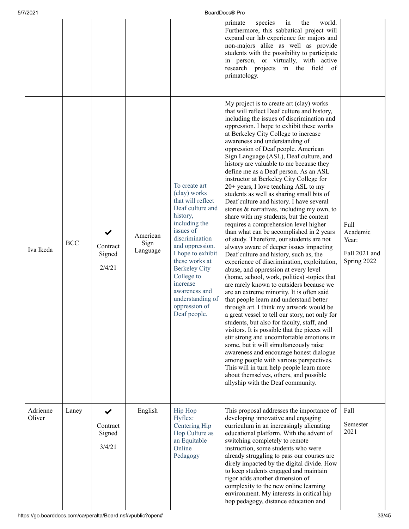| 5/7/2021<br>BoardDocs® Pro |            |                                   |                              |                                                                                                                                                                                                                                                                                                                      |                                                                                                                                                                                                                                                                                                                                                                                                                                                                                                                                                                                                                                                                                                                                                                                                                                                                                                                                                                                                                                                                                                                                                                                                                                                                                                                                                                                                                                                                                                                                                                                                                                                                                                              |                                                           |  |  |  |
|----------------------------|------------|-----------------------------------|------------------------------|----------------------------------------------------------------------------------------------------------------------------------------------------------------------------------------------------------------------------------------------------------------------------------------------------------------------|--------------------------------------------------------------------------------------------------------------------------------------------------------------------------------------------------------------------------------------------------------------------------------------------------------------------------------------------------------------------------------------------------------------------------------------------------------------------------------------------------------------------------------------------------------------------------------------------------------------------------------------------------------------------------------------------------------------------------------------------------------------------------------------------------------------------------------------------------------------------------------------------------------------------------------------------------------------------------------------------------------------------------------------------------------------------------------------------------------------------------------------------------------------------------------------------------------------------------------------------------------------------------------------------------------------------------------------------------------------------------------------------------------------------------------------------------------------------------------------------------------------------------------------------------------------------------------------------------------------------------------------------------------------------------------------------------------------|-----------------------------------------------------------|--|--|--|
|                            |            |                                   |                              |                                                                                                                                                                                                                                                                                                                      | species<br>primate<br>world.<br>in<br>the<br>Furthermore, this sabbatical project will<br>expand our lab experience for majors and<br>non-majors alike as well as provide<br>students with the possibility to participate<br>in person, or virtually, with active<br>research projects in the field of<br>primatology.                                                                                                                                                                                                                                                                                                                                                                                                                                                                                                                                                                                                                                                                                                                                                                                                                                                                                                                                                                                                                                                                                                                                                                                                                                                                                                                                                                                       |                                                           |  |  |  |
| Iva Ikeda                  | <b>BCC</b> | Contract<br>Signed<br>2/4/21      | American<br>Sign<br>Language | To create art<br>(clay) works<br>that will reflect<br>Deaf culture and<br>history,<br>including the<br>issues of<br>discrimination<br>and oppression.<br>I hope to exhibit<br>these works at<br><b>Berkeley City</b><br>College to<br>increase<br>awareness and<br>understanding of<br>oppression of<br>Deaf people. | My project is to create art (clay) works<br>that will reflect Deaf culture and history,<br>including the issues of discrimination and<br>oppression. I hope to exhibit these works<br>at Berkeley City College to increase<br>awareness and understanding of<br>oppression of Deaf people. American<br>Sign Language (ASL), Deaf culture, and<br>history are valuable to me because they<br>define me as a Deaf person. As an ASL<br>instructor at Berkeley City College for<br>20+ years, I love teaching ASL to my<br>students as well as sharing small bits of<br>Deaf culture and history. I have several<br>stories & narratives, including my own, to<br>share with my students, but the content<br>requires a comprehension level higher<br>than what can be accomplished in 2 years<br>of study. Therefore, our students are not<br>always aware of deeper issues impacting<br>Deaf culture and history, such as, the<br>experience of discrimination, exploitation,<br>abuse, and oppression at every level<br>(home, school, work, politics) -topics that<br>are rarely known to outsiders because we<br>are an extreme minority. It is often said<br>that people learn and understand better<br>through art. I think my artwork would be<br>a great vessel to tell our story, not only for<br>students, but also for faculty, staff, and<br>visitors. It is possible that the pieces will<br>stir strong and uncomfortable emotions in<br>some, but it will simultaneously raise<br>awareness and encourage honest dialogue<br>among people with various perspectives.<br>This will in turn help people learn more<br>about themselves, others, and possible<br>allyship with the Deaf community. | Full<br>Academic<br>Year:<br>Fall 2021 and<br>Spring 2022 |  |  |  |
| Adrienne<br>Oliver         | Laney      | ✔<br>Contract<br>Signed<br>3/4/21 | English                      | Hip Hop<br>Hyflex:<br>Centering Hip<br>Hop Culture as<br>an Equitable<br>Online<br>Pedagogy                                                                                                                                                                                                                          | This proposal addresses the importance of<br>developing innovative and engaging<br>curriculum in an increasingly alienating<br>educational platform. With the advent of<br>switching completely to remote<br>instruction, some students who were<br>already struggling to pass our courses are<br>direly impacted by the digital divide. How<br>to keep students engaged and maintain<br>rigor adds another dimension of<br>complexity to the new online learning<br>environment. My interests in critical hip<br>hop pedagogy, distance education and                                                                                                                                                                                                                                                                                                                                                                                                                                                                                                                                                                                                                                                                                                                                                                                                                                                                                                                                                                                                                                                                                                                                                       | Fall<br>Semester<br>2021                                  |  |  |  |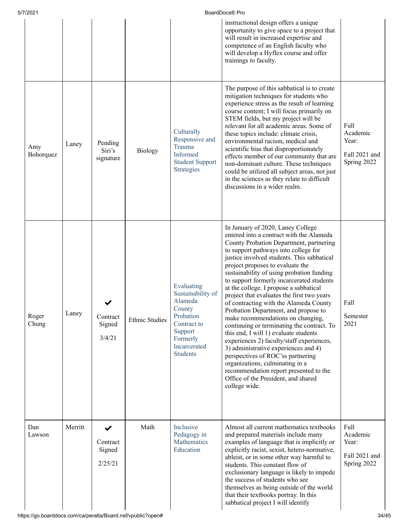| 5/7/2021         |         |                                    |                       |                                                                                                                                            | BoardDocs® Pro                                                                                                                                                                                                                                                                                                                                                                                                                                                                                                                                                                                                                                                                                                                                                                                                                                                                                                    |                                                           |
|------------------|---------|------------------------------------|-----------------------|--------------------------------------------------------------------------------------------------------------------------------------------|-------------------------------------------------------------------------------------------------------------------------------------------------------------------------------------------------------------------------------------------------------------------------------------------------------------------------------------------------------------------------------------------------------------------------------------------------------------------------------------------------------------------------------------------------------------------------------------------------------------------------------------------------------------------------------------------------------------------------------------------------------------------------------------------------------------------------------------------------------------------------------------------------------------------|-----------------------------------------------------------|
|                  |         |                                    |                       |                                                                                                                                            | instructional design offers a unique<br>opportunity to give space to a project that<br>will result in increased expertise and<br>competence of an English faculty who<br>will develop a Hyflex course and offer<br>trainings to faculty.                                                                                                                                                                                                                                                                                                                                                                                                                                                                                                                                                                                                                                                                          |                                                           |
| Amy<br>Bohorquez | Laney   | Pending<br>Siri's<br>signature     | Biology               | Culturally<br>Responsive and<br>Trauma<br>Informed<br><b>Student Support</b><br>Strategies                                                 | The purpose of this sabbatical is to create<br>mitigation techniques for students who<br>experience stress as the result of learning<br>course content; I will focus primarily on<br>STEM fields, but my project will be<br>relevant for all academic areas. Some of<br>these topics include: climate crisis,<br>environmental racism, medical and<br>scientific bias that disproportionately<br>effects member of our community that are<br>non-dominant culture. These techniques<br>could be utilized all subject areas, not just<br>in the sciences as they relate to difficult<br>discussions in a wider realm.                                                                                                                                                                                                                                                                                              | Full<br>Academic<br>Year:<br>Fall 2021 and<br>Spring 2022 |
| Roger<br>Chung   | Laney   | Contract<br>Signed<br>3/4/21       | <b>Ethnic Studies</b> | Evaluating<br>Sustainability of<br>Alameda<br>County<br>Probation<br>Contract to<br>Support<br>Formerly<br>Incarcerated<br><b>Students</b> | In January of 2020, Laney College<br>entered into a contract with the Alameda<br>County Probation Department, partnering<br>to support pathways into college for<br>justice involved students. This sabbatical<br>project proposes to evaluate the<br>sustainability of using probation funding<br>to support formerly incarcerated students<br>at the college. I propose a sabbatical<br>project that evaluates the first two years<br>of contracting with the Alameda County<br>Probation Department, and propose to<br>make recommendations on changing,<br>continuing or terminating the contract. To<br>this end, I will 1) evaluate students<br>experiences 2) faculty/staff experiences,<br>3) administrative experiences and 4)<br>perspectives of ROC'ss partnering<br>organizations, culminating in a<br>recommendation report presented to the<br>Office of the President, and shared<br>college wide. | Fall<br>Semester<br>2021                                  |
| Dan<br>Lawson    | Merritt | ✔<br>Contract<br>Signed<br>2/25/21 | Math                  | Inclusive<br>Pedagogy in<br>Mathematics<br>Education                                                                                       | Almost all current mathematics textbooks<br>and prepared materials include many<br>examples of language that is implicitly or<br>explicitly racist, sexist, hetero-normative,<br>ableist, or in some other way harmful to<br>students. This constant flow of<br>exclusionary language is likely to impede<br>the success of students who see<br>themselves as being outside of the world<br>that their textbooks portray. In this<br>sabbatical project I will identify                                                                                                                                                                                                                                                                                                                                                                                                                                           | Full<br>Academic<br>Year:<br>Fall 2021 and<br>Spring 2022 |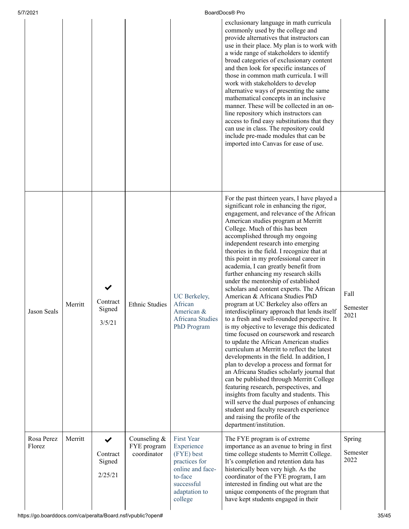| 5/7/2021             |         |                                               |                                            |                                                                                                                                         | BoardDocs® Pro                                                                                                                                                                                                                                                                                                                                                                                                                                                                                                                                                                                                                                                                                                                                                                                                                                                                                                                                                                                                                                                                                                                                                                                                                                                                                                                                |                            |
|----------------------|---------|-----------------------------------------------|--------------------------------------------|-----------------------------------------------------------------------------------------------------------------------------------------|-----------------------------------------------------------------------------------------------------------------------------------------------------------------------------------------------------------------------------------------------------------------------------------------------------------------------------------------------------------------------------------------------------------------------------------------------------------------------------------------------------------------------------------------------------------------------------------------------------------------------------------------------------------------------------------------------------------------------------------------------------------------------------------------------------------------------------------------------------------------------------------------------------------------------------------------------------------------------------------------------------------------------------------------------------------------------------------------------------------------------------------------------------------------------------------------------------------------------------------------------------------------------------------------------------------------------------------------------|----------------------------|
|                      |         |                                               |                                            |                                                                                                                                         | exclusionary language in math curricula<br>commonly used by the college and<br>provide alternatives that instructors can<br>use in their place. My plan is to work with<br>a wide range of stakeholders to identify<br>broad categories of exclusionary content<br>and then look for specific instances of<br>those in common math curricula. I will<br>work with stakeholders to develop<br>alternative ways of presenting the same<br>mathematical concepts in an inclusive<br>manner. These will be collected in an on-<br>line repository which instructors can<br>access to find easy substitutions that they<br>can use in class. The repository could<br>include pre-made modules that can be<br>imported into Canvas for ease of use.                                                                                                                                                                                                                                                                                                                                                                                                                                                                                                                                                                                                 |                            |
| Jason Seals          | Merritt | Contract<br>Signed<br>3/5/21                  | <b>Ethnic Studies</b>                      | UC Berkeley,<br>African<br>American &<br>Africana Studies<br>PhD Program                                                                | For the past thirteen years, I have played a<br>significant role in enhancing the rigor,<br>engagement, and relevance of the African<br>American studies program at Merritt<br>College. Much of this has been<br>accomplished through my ongoing<br>independent research into emerging<br>theories in the field. I recognize that at<br>this point in my professional career in<br>academia, I can greatly benefit from<br>further enhancing my research skills<br>under the mentorship of established<br>scholars and content experts. The African<br>American & Africana Studies PhD<br>program at UC Berkeley also offers an<br>interdisciplinary approach that lends itself<br>to a fresh and well-rounded perspective. It<br>is my objective to leverage this dedicated<br>time focused on coursework and research<br>to update the African American studies<br>curriculum at Merritt to reflect the latest<br>developments in the field. In addition, I<br>plan to develop a process and format for<br>an Africana Studies scholarly journal that<br>can be published through Merritt College<br>featuring research, perspectives, and<br>insights from faculty and students. This<br>will serve the dual purposes of enhancing<br>student and faculty research experience<br>and raising the profile of the<br>department/institution. | Fall<br>Semester<br>2021   |
| Rosa Perez<br>Florez | Merritt | $\checkmark$<br>Contract<br>Signed<br>2/25/21 | Counseling &<br>FYE program<br>coordinator | <b>First Year</b><br>Experience<br>(FYE) best<br>practices for<br>online and face-<br>to-face<br>successful<br>adaptation to<br>college | The FYE program is of extreme<br>importance as an avenue to bring in first<br>time college students to Merritt College.<br>It's completion and retention data has<br>historically been very high. As the<br>coordinator of the FYE program, I am<br>interested in finding out what are the<br>unique components of the program that<br>have kept students engaged in their                                                                                                                                                                                                                                                                                                                                                                                                                                                                                                                                                                                                                                                                                                                                                                                                                                                                                                                                                                    | Spring<br>Semester<br>2022 |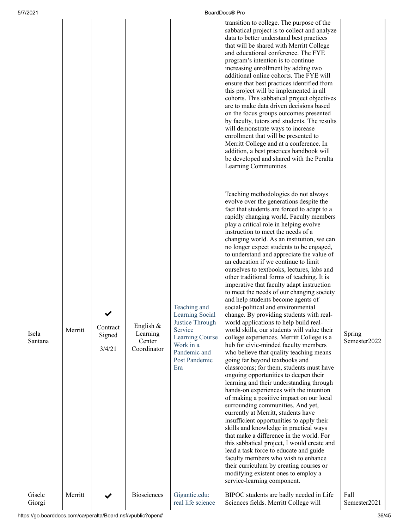| 5/7/2021         |         |                                   |                                                  |                                                                                                                                       | BoardDocs® Pro                                                                                                                                                                                                                                                                                                                                                                                                                                                                                                                                                                                                                                                                                                                                                                                                                                                                                                                                                                                                                                                                                                                                                                                                                                                                                                                                                                                                                                                                                                                                                                                                                                                                                           |                        |
|------------------|---------|-----------------------------------|--------------------------------------------------|---------------------------------------------------------------------------------------------------------------------------------------|----------------------------------------------------------------------------------------------------------------------------------------------------------------------------------------------------------------------------------------------------------------------------------------------------------------------------------------------------------------------------------------------------------------------------------------------------------------------------------------------------------------------------------------------------------------------------------------------------------------------------------------------------------------------------------------------------------------------------------------------------------------------------------------------------------------------------------------------------------------------------------------------------------------------------------------------------------------------------------------------------------------------------------------------------------------------------------------------------------------------------------------------------------------------------------------------------------------------------------------------------------------------------------------------------------------------------------------------------------------------------------------------------------------------------------------------------------------------------------------------------------------------------------------------------------------------------------------------------------------------------------------------------------------------------------------------------------|------------------------|
|                  |         |                                   |                                                  |                                                                                                                                       | transition to college. The purpose of the<br>sabbatical project is to collect and analyze<br>data to better understand best practices<br>that will be shared with Merritt College<br>and educational conference. The FYE<br>program's intention is to continue<br>increasing enrollment by adding two<br>additional online cohorts. The FYE will<br>ensure that best practices identified from<br>this project will be implemented in all<br>cohorts. This sabbatical project objectives<br>are to make data driven decisions based<br>on the focus groups outcomes presented<br>by faculty, tutors and students. The results<br>will demonstrate ways to increase<br>enrollment that will be presented to<br>Merritt College and at a conference. In<br>addition, a best practices handbook will<br>be developed and shared with the Peralta<br>Learning Communities.                                                                                                                                                                                                                                                                                                                                                                                                                                                                                                                                                                                                                                                                                                                                                                                                                                   |                        |
| Isela<br>Santana | Merritt | ✔<br>Contract<br>Signed<br>3/4/21 | English $&$<br>Learning<br>Center<br>Coordinator | Teaching and<br>Learning Social<br>Justice Through<br>Service<br>Learning Course<br>Work in a<br>Pandemic and<br>Post Pandemic<br>Era | Teaching methodologies do not always<br>evolve over the generations despite the<br>fact that students are forced to adapt to a<br>rapidly changing world. Faculty members<br>play a critical role in helping evolve<br>instruction to meet the needs of a<br>changing world. As an institution, we can<br>no longer expect students to be engaged,<br>to understand and appreciate the value of<br>an education if we continue to limit<br>ourselves to textbooks, lectures, labs and<br>other traditional forms of teaching. It is<br>imperative that faculty adapt instruction<br>to meet the needs of our changing society<br>and help students become agents of<br>social-political and environmental<br>change. By providing students with real-<br>world applications to help build real-<br>world skills, our students will value their<br>college experiences. Merritt College is a<br>hub for civic-minded faculty members<br>who believe that quality teaching means<br>going far beyond textbooks and<br>classrooms; for them, students must have<br>ongoing opportunities to deepen their<br>learning and their understanding through<br>hands-on experiences with the intention<br>of making a positive impact on our local<br>surrounding communities. And yet,<br>currently at Merritt, students have<br>insufficient opportunities to apply their<br>skills and knowledge in practical ways<br>that make a difference in the world. For<br>this sabbatical project, I would create and<br>lead a task force to educate and guide<br>faculty members who wish to enhance<br>their curriculum by creating courses or<br>modifying existent ones to employ a<br>service-learning component. | Spring<br>Semester2022 |
| Gisele<br>Giorgi | Merritt | $\checkmark$                      | <b>Biosciences</b>                               | Gigantic.edu:<br>real life science                                                                                                    | BIPOC students are badly needed in Life<br>Sciences fields. Merritt College will                                                                                                                                                                                                                                                                                                                                                                                                                                                                                                                                                                                                                                                                                                                                                                                                                                                                                                                                                                                                                                                                                                                                                                                                                                                                                                                                                                                                                                                                                                                                                                                                                         | Fall<br>Semester2021   |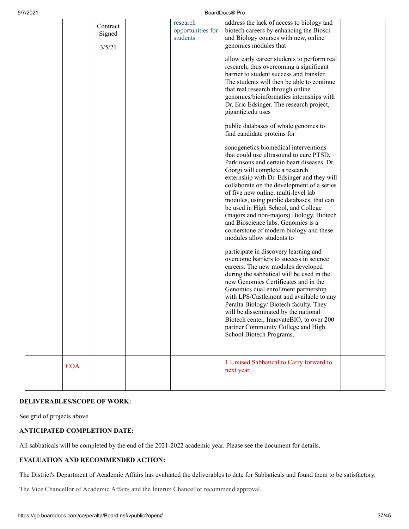| 5/7/2021   |                              | BoardDocs® Pro                            |                                                                                                                                                                                                                                                                                                                                                                                                                                                                                                                                                                                             |  |  |
|------------|------------------------------|-------------------------------------------|---------------------------------------------------------------------------------------------------------------------------------------------------------------------------------------------------------------------------------------------------------------------------------------------------------------------------------------------------------------------------------------------------------------------------------------------------------------------------------------------------------------------------------------------------------------------------------------------|--|--|
|            | Contract<br>Signed<br>3/5/21 | research<br>opportunities for<br>students | address the lack of access to biology and<br>biotech careers by enhancing the Biosci<br>and Biology courses with new, online<br>genomics modules that                                                                                                                                                                                                                                                                                                                                                                                                                                       |  |  |
|            |                              |                                           | allow early career students to perform real<br>research, thus overcoming a significant<br>barrier to student success and transfer.<br>The students will then be able to continue<br>that real research through online<br>genomics/bioinformatics internships with<br>Dr. Eric Edsinger. The research project,<br>gigantic.edu uses                                                                                                                                                                                                                                                          |  |  |
|            |                              |                                           | public databases of whale genomes to<br>find candidate proteins for                                                                                                                                                                                                                                                                                                                                                                                                                                                                                                                         |  |  |
|            |                              |                                           | sonogenetics biomedical interventions<br>that could use ultrasound to cure PTSD,<br>Parkinsons and certain heart diseases. Dr.<br>Giorgi will complete a research<br>externship with Dr. Edsinger and they will<br>collaborate on the development of a series<br>of five new online, multi-level lab<br>modules, using public databases, that can<br>be used in High School, and College<br>(majors and non-majors) Biology, Biotech<br>and Bioscience labs. Genomics is a<br>cornerstone of modern biology and these<br>modules allow students to<br>participate in discovery learning and |  |  |
|            |                              |                                           | overcome barriers to success in science<br>careers. The new modules developed<br>during the sabbatical will be used in the<br>new Genomics Certificates and in the<br>Genomics dual enrollment partnership<br>with LPS/Castlemont and available to any<br>Peralta Biology/ Biotech faculty. They<br>will be disseminated by the national<br>Biotech center, InnovateBIO, to over 200<br>partner Community College and High<br>School Biotech Programs.                                                                                                                                      |  |  |
| <b>COA</b> |                              |                                           | 1 Unused Sabbatical to Carry forward to<br>next year                                                                                                                                                                                                                                                                                                                                                                                                                                                                                                                                        |  |  |

# **DELIVERABLES/SCOPE OF WORK:**

See grid of projects above

# **ANTICIPATED COMPLETION DATE:**

All sabbaticals will be completed by the end of the 2021-2022 academic year. Please see the document for details.

# **EVALUATION AND RECOMMENDED ACTION:**

The District's Department of Academic Affairs has evaluated the deliverables to date for Sabbaticals and found them to be satisfactory.

The Vice Chancellor of Academic Affairs and the Interim Chancellor recommend approval.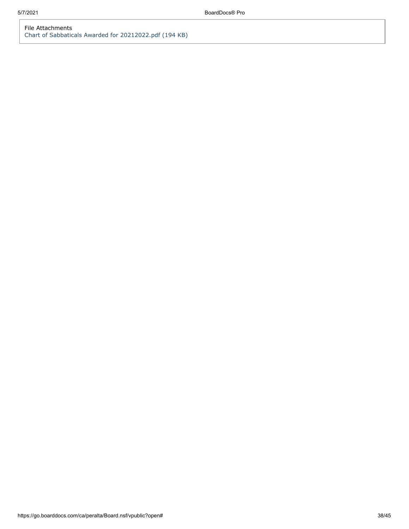# File Attachments [Chart of Sabbaticals Awarded for 20212022.pdf \(194 KB\)](https://go.boarddocs.com/ca/peralta/Board.nsf/files/C2GUDT77A049/$file/Chart%20of%20Sabbaticals%20Awarded%20for%2020212022.pdf)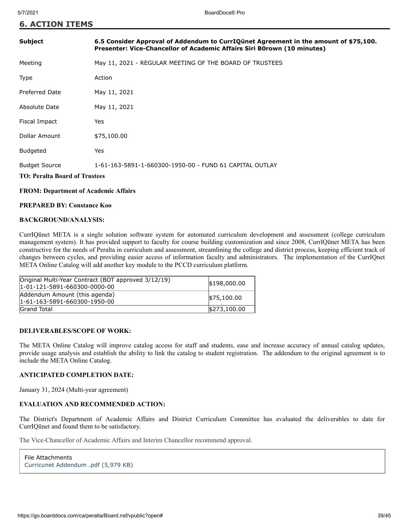| Subject                                                      | 6.5 Consider Approval of Addendum to CurrIQunet Agreement in the amount of \$75,100.<br>Presenter: Vice-Chancellor of Academic Affairs Siri B0rown (10 minutes) |
|--------------------------------------------------------------|-----------------------------------------------------------------------------------------------------------------------------------------------------------------|
| Meeting                                                      | May 11, 2021 - REGULAR MEETING OF THE BOARD OF TRUSTEES                                                                                                         |
| <b>Type</b>                                                  | Action                                                                                                                                                          |
| Preferred Date                                               | May 11, 2021                                                                                                                                                    |
| Absolute Date                                                | May 11, 2021                                                                                                                                                    |
| Fiscal Impact                                                | Yes                                                                                                                                                             |
| Dollar Amount                                                | \$75,100.00                                                                                                                                                     |
| <b>Budgeted</b>                                              | Yes                                                                                                                                                             |
| <b>Budget Source</b><br><b>TO: Peralta Board of Trustees</b> | 1-61-163-5891-1-660300-1950-00 - FUND 61 CAPITAL OUTLAY                                                                                                         |

# **FROM: Department of Academic Affairs**

# **PREPARED BY: Constance Koo**

#### **BACKGROUND/ANALYSIS:**

CurrIQūnet META is a single solution software system for automated curriculum development and assessment (college curriculum management system). It has provided support to faculty for course building customization and since 2008, CurrIQūnet META has been constructive for the needs of Peralta in curriculum and assessment, streamlining the college and district process, keeping efficient track of changes between cycles, and providing easier access of information faculty and administrators. The implementation of the CurrIQnet META Online Catalog will add another key module to the PCCD curriculum platform.

| Original Multi-Year Contract (BOT approved 3/12/19)<br>$ 1 - 01 - 121 - 5891 - 660300 - 0000 - 00 $ | \$198,000.00 |
|-----------------------------------------------------------------------------------------------------|--------------|
| Addendum Amount (this agenda)<br>1-61-163-5891-660300-1950-00                                       | \$75,100.00  |
| <b>Grand Total</b>                                                                                  | \$273,100,00 |

#### **DELIVERABLES/SCOPE OF WORK:**

The META Online Catalog will improve catalog access for staff and students, ease and increase accuracy of annual catalog updates, provide usage analysis and establish the ability to link the catalog to student registration. The addendum to the original agreement is to include the META Online Catalog.

# **ANTICIPATED COMPLETION DATE:**

January 31, 2024 (Multi-year agreement)

# **EVALUATION AND RECOMMENDED ACTION:**

The District's Department of Academic Affairs and District Curriculum Committee has evaluated the deliverables to date for CurrIQūnet and found them to be satisfactory.

The Vice-Chancellor of Academic Affairs and Interim Chancellor recommend approval.

```
File Attachments
Curricunet Addendum .pdf (5,979 KB)
```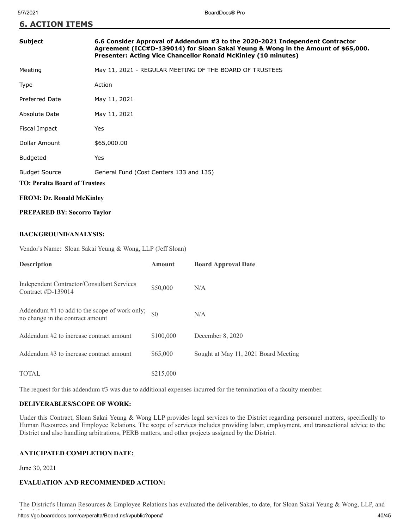|  |  |  |  | <b>6. ACTION ITEMS</b> |
|--|--|--|--|------------------------|
|--|--|--|--|------------------------|

# **Subject 6.6 Consider Approval of Addendum #3 to the 2020-2021 Independent Contractor Agreement (ICC#D-139014) for Sloan Sakai Yeung & Wong in the Amount of \$65,000. Presenter: Acting Vice Chancellor Ronald McKinley (10 minutes)**

| Meeting | May 11, 2021 - REGULAR MEETING OF THE BOARD OF TRUSTEES |
|---------|---------------------------------------------------------|
|---------|---------------------------------------------------------|

| Type | Action |
|------|--------|
|------|--------|

| <b>Preferred Date</b> | May 11, 2021                            |
|-----------------------|-----------------------------------------|
| Absolute Date         | May 11, 2021                            |
| Fiscal Impact         | Yes                                     |
| Dollar Amount         | \$65,000.00                             |
| <b>Budgeted</b>       | Yes                                     |
| <b>Budget Source</b>  | General Fund (Cost Centers 133 and 135) |

# **TO: Peralta Board of Trustees**

# **FROM: Dr. Ronald McKinley**

# **PREPARED BY: Socorro Taylor**

# **BACKGROUND/ANALYSIS:**

Vendor's Name: Sloan Sakai Yeung & Wong, LLP (Jeff Sloan)

| <b>Description</b>                                                                | <b>Amount</b> | <b>Board Approval Date</b>           |
|-----------------------------------------------------------------------------------|---------------|--------------------------------------|
| Independent Contractor/Consultant Services<br>Contract $#D-139014$                | \$50,000      | N/A                                  |
| Addendum #1 to add to the scope of work only;<br>no change in the contract amount | \$0           | N/A                                  |
| Addendum #2 to increase contract amount                                           | \$100,000     | December 8, 2020                     |
| Addendum #3 to increase contract amount                                           | \$65,000      | Sought at May 11, 2021 Board Meeting |
| <b>TOTAL</b>                                                                      | \$215,000     |                                      |

The request for this addendum #3 was due to additional expenses incurred for the termination of a faculty member.

# **DELIVERABLES/SCOPE OF WORK:**

Under this Contract, Sloan Sakai Yeung & Wong LLP provides legal services to the District regarding personnel matters, specifically to Human Resources and Employee Relations. The scope of services includes providing labor, employment, and transactional advice to the District and also handling arbitrations, PERB matters, and other projects assigned by the District.

# **ANTICIPATED COMPLETION DATE:**

June 30, 2021

# **EVALUATION AND RECOMMENDED ACTION:**

https://go.boarddocs.com/ca/peralta/Board.nsf/vpublic?open# 40/45 The District's Human Resources & Employee Relations has evaluated the deliverables, to date, for Sloan Sakai Yeung & Wong, LLP, and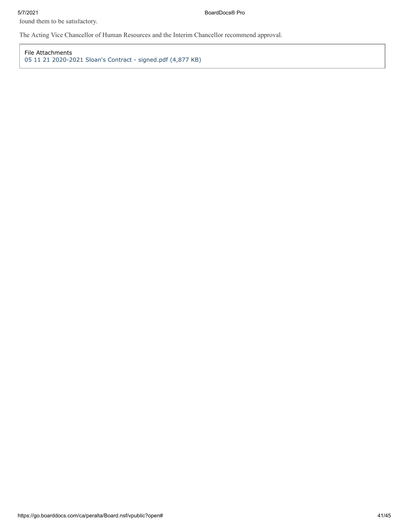5/7/2021 BoardDocs® Pro

found them to be satisfactory.

The Acting Vice Chancellor of Human Resources and the Interim Chancellor recommend approval.

File Attachments [05 11 21 2020-2021 Sloan's Contract - signed.pdf \(4,877 KB\)](https://go.boarddocs.com/ca/peralta/Board.nsf/files/C2NV7K7F3689/$file/05%2011%2021%202020-2021%20Sloan)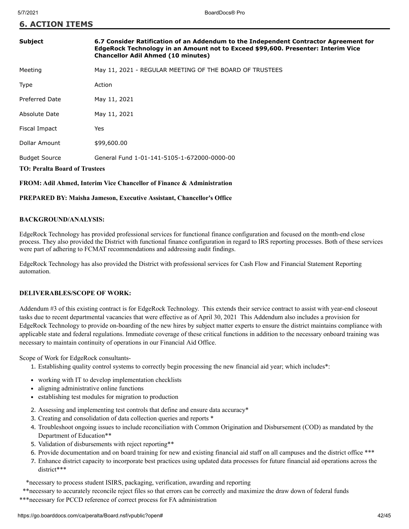|  | <b>6. ACTION ITEMS</b> |  |
|--|------------------------|--|
|  |                        |  |

| <b>Subject</b>                       | 6.7 Consider Ratification of an Addendum to the Independent Contractor Agreement for<br>EdgeRock Technology in an Amount not to Exceed \$99,600. Presenter: Interim Vice<br><b>Chancellor Adil Ahmed (10 minutes)</b> |  |
|--------------------------------------|-----------------------------------------------------------------------------------------------------------------------------------------------------------------------------------------------------------------------|--|
| Meeting                              | May 11, 2021 - REGULAR MEETING OF THE BOARD OF TRUSTEES                                                                                                                                                               |  |
| Type                                 | Action                                                                                                                                                                                                                |  |
| Preferred Date                       | May 11, 2021                                                                                                                                                                                                          |  |
| Absolute Date                        | May 11, 2021                                                                                                                                                                                                          |  |
| Fiscal Impact                        | Yes                                                                                                                                                                                                                   |  |
| Dollar Amount                        | \$99,600.00                                                                                                                                                                                                           |  |
| <b>Budget Source</b>                 | General Fund 1-01-141-5105-1-672000-0000-00                                                                                                                                                                           |  |
| <b>TO: Peralta Board of Trustees</b> |                                                                                                                                                                                                                       |  |

# **FROM: Adil Ahmed, Interim Vice Chancellor of Finance & Administration**

# **PREPARED BY: Maisha Jameson, Executive Assistant, Chancellor's Office**

# **BACKGROUND/ANALYSIS:**

EdgeRock Technology has provided professional services for functional finance configuration and focused on the month-end close process. They also provided the District with functional finance configuration in regard to IRS reporting processes. Both of these services were part of adhering to FCMAT recommendations and addressing audit findings.

EdgeRock Technology has also provided the District with professional services for Cash Flow and Financial Statement Reporting automation.

# **DELIVERABLES/SCOPE OF WORK:**

Addendum #3 of this existing contract is for EdgeRock Technology. This extends their service contract to assist with year-end closeout tasks due to recent departmental vacancies that were effective as of April 30, 2021 This Addendum also includes a provision for EdgeRock Technology to provide on-boarding of the new hires by subject matter experts to ensure the district maintains compliance with applicable state and federal regulations. Immediate coverage of these critical functions in addition to the necessary onboard training was necessary to maintain continuity of operations in our Financial Aid Office.

Scope of Work for EdgeRock consultants-

- 1. Establishing quality control systems to correctly begin processing the new financial aid year; which includes\*:
- working with IT to develop implementation checklists
- aligning administrative online functions
- establishing test modules for migration to production
- 2. Assessing and implementing test controls that define and ensure data accuracy\*
- 3. Creating and consolidation of data collection queries and reports \*
- 4. Troubleshoot ongoing issues to include reconciliation with Common Origination and Disbursement (COD) as mandated by the Department of Education\*\*
- 5. Validation of disbursements with reject reporting\*\*
- 6. Provide documentation and on board training for new and existing financial aid staff on all campuses and the district office \*\*\*
- 7. Enhance district capacity to incorporate best practices using updated data processes for future financial aid operations across the district\*\*\*

\*necessary to process student ISIRS, packaging, verification, awarding and reporting

\*\*necessary to accurately reconcile reject files so that errors can be correctly and maximize the draw down of federal funds

\*\*\*necessary for PCCD reference of correct process for FA administration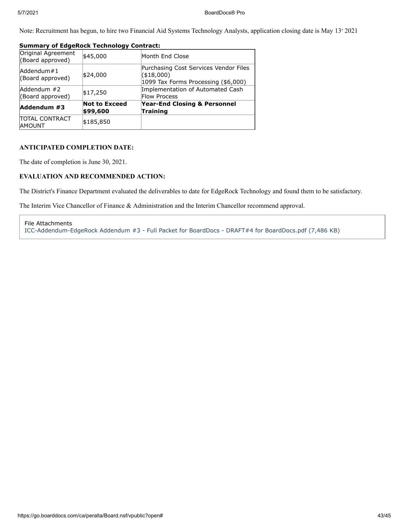Note: Recruitment has begun, to hire two Financial Aid Systems Technology Analysts, application closing date is May 13' 2021

| Original Agreement<br>(Board approved) | \$45,000                         | Month End Close                                                                             |
|----------------------------------------|----------------------------------|---------------------------------------------------------------------------------------------|
| Addendum#1<br>(Board approved)         | \$24,000                         | Purchasing Cost Services Vendor Files<br>( \$18,000)<br>1099 Tax Forms Processing (\$6,000) |
| Addendum #2<br>(Board approved)        | \$17,250                         | Implementation of Automated Cash<br><b>Flow Process</b>                                     |
| Addendum #3                            | <b>Not to Exceed</b><br>\$99,600 | Year-End Closing & Personnel<br><b>Training</b>                                             |
| <b>TOTAL CONTRACT</b><br><b>AMOUNT</b> | \$185,850                        |                                                                                             |

# **Summary of EdgeRock Technology Contract:**

# **ANTICIPATED COMPLETION DATE:**

The date of completion is June 30, 2021.

# **EVALUATION AND RECOMMENDED ACTION:**

The District's Finance Department evaluated the deliverables to date for EdgeRock Technology and found them to be satisfactory.

The Interim Vice Chancellor of Finance & Administration and the Interim Chancellor recommend approval.

File Attachments [ICC-Addendum-EdgeRock Addendum #3 - Full Packet for BoardDocs - DRAFT#4 for BoardDocs.pdf \(7,486 KB\)](https://go.boarddocs.com/ca/peralta/Board.nsf/files/C2SS4R709B42/$file/ICC-Addendum-EdgeRock%20Addendum%20%233%20-%20Full%20Packet%20for%20BoardDocs%20-%20DRAFT%234%20for%20BoardDocs.pdf)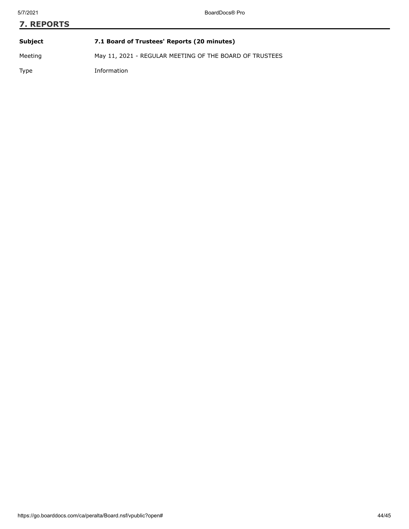| <b>7. REPORTS</b> |                                                         |  |
|-------------------|---------------------------------------------------------|--|
| Subject           | 7.1 Board of Trustees' Reports (20 minutes)             |  |
| Meeting           | May 11, 2021 - REGULAR MEETING OF THE BOARD OF TRUSTEES |  |